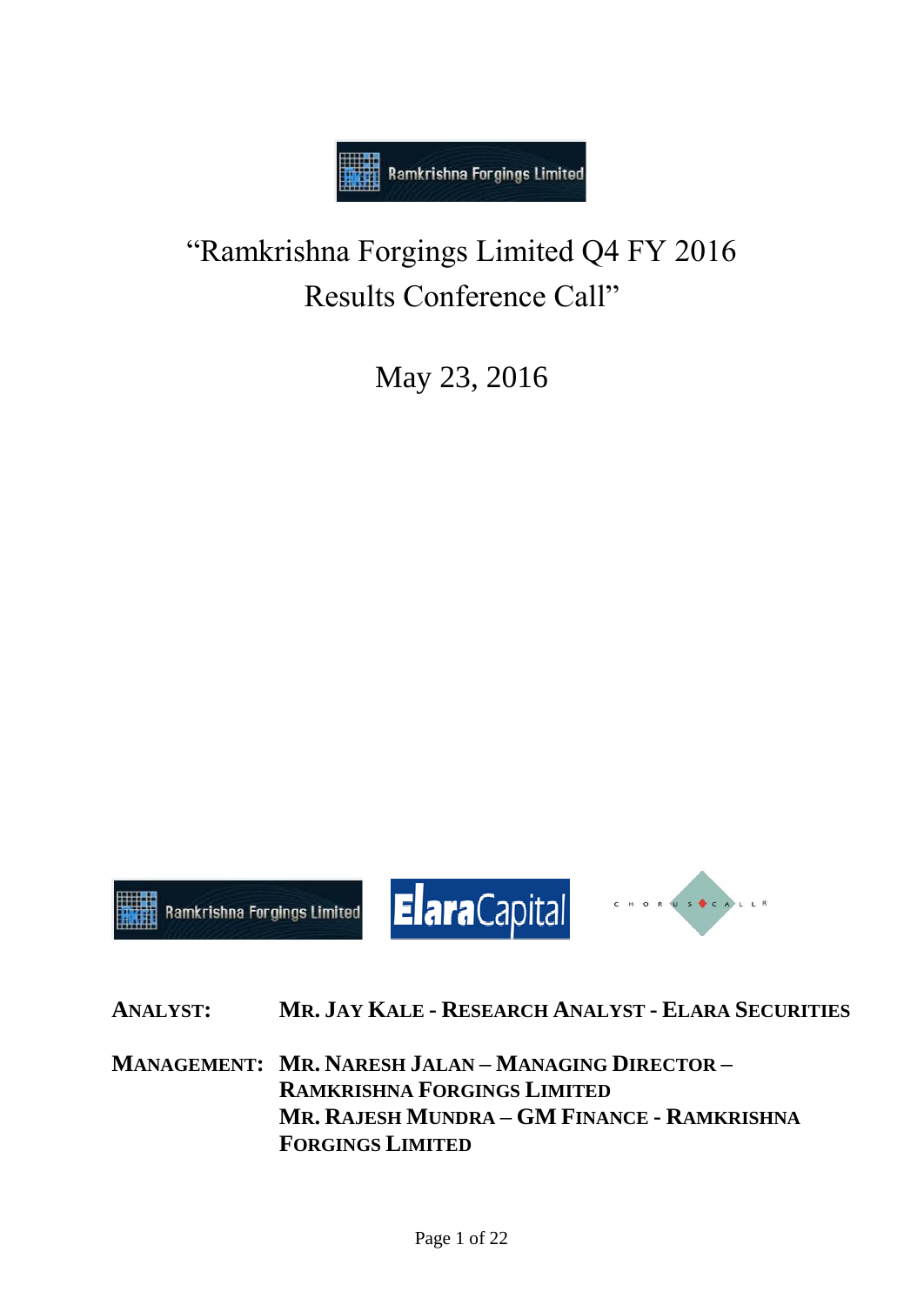

# "Ramkrishna Forgings Limited Q4 FY 2016 Results Conference Call"

May 23, 2016



**ANALYST: MR. JAY KALE - RESEARCH ANALYST - ELARA SECURITIES**

**MANAGEMENT: MR. NARESH JALAN – MANAGING DIRECTOR – RAMKRISHNA FORGINGS LIMITED MR. RAJESH MUNDRA – GM FINANCE - RAMKRISHNA FORGINGS LIMITED**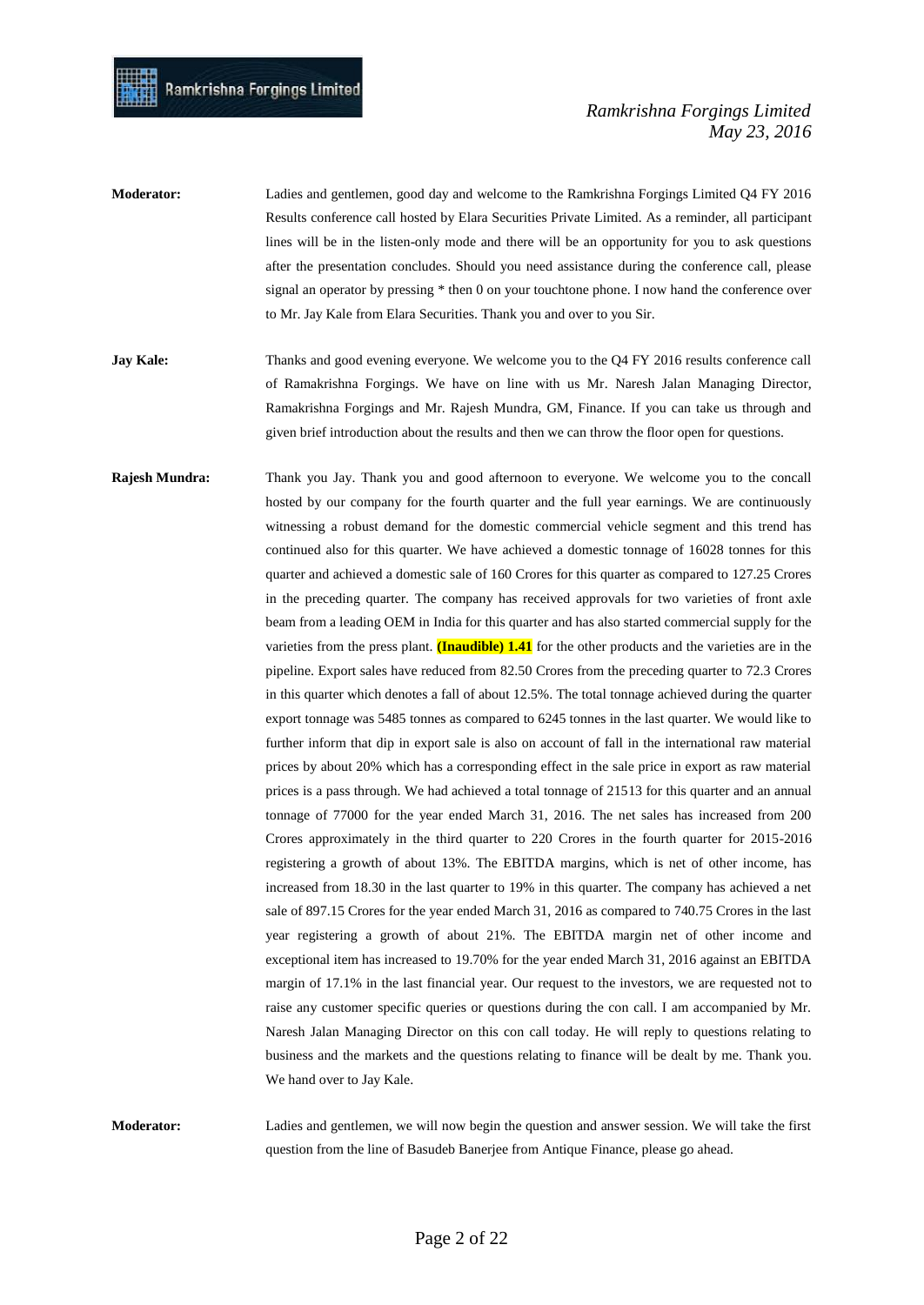- **Moderator:** Ladies and gentlemen, good day and welcome to the Ramkrishna Forgings Limited Q4 FY 2016 Results conference call hosted by Elara Securities Private Limited. As a reminder, all participant lines will be in the listen-only mode and there will be an opportunity for you to ask questions after the presentation concludes. Should you need assistance during the conference call, please signal an operator by pressing \* then 0 on your touchtone phone. I now hand the conference over to Mr. Jay Kale from Elara Securities. Thank you and over to you Sir.
- **Jay Kale:** Thanks and good evening everyone. We welcome you to the Q4 FY 2016 results conference call of Ramakrishna Forgings. We have on line with us Mr. Naresh Jalan Managing Director, Ramakrishna Forgings and Mr. Rajesh Mundra, GM, Finance. If you can take us through and given brief introduction about the results and then we can throw the floor open for questions.
- **Rajesh Mundra:** Thank you Jay. Thank you and good afternoon to everyone. We welcome you to the concall hosted by our company for the fourth quarter and the full year earnings. We are continuously witnessing a robust demand for the domestic commercial vehicle segment and this trend has continued also for this quarter. We have achieved a domestic tonnage of 16028 tonnes for this quarter and achieved a domestic sale of 160 Crores for this quarter as compared to 127.25 Crores in the preceding quarter. The company has received approvals for two varieties of front axle beam from a leading OEM in India for this quarter and has also started commercial supply for the varieties from the press plant. **(Inaudible) 1.41** for the other products and the varieties are in the pipeline. Export sales have reduced from 82.50 Crores from the preceding quarter to 72.3 Crores in this quarter which denotes a fall of about 12.5%. The total tonnage achieved during the quarter export tonnage was 5485 tonnes as compared to 6245 tonnes in the last quarter. We would like to further inform that dip in export sale is also on account of fall in the international raw material prices by about 20% which has a corresponding effect in the sale price in export as raw material prices is a pass through. We had achieved a total tonnage of 21513 for this quarter and an annual tonnage of 77000 for the year ended March 31, 2016. The net sales has increased from 200 Crores approximately in the third quarter to 220 Crores in the fourth quarter for 2015-2016 registering a growth of about 13%. The EBITDA margins, which is net of other income, has increased from 18.30 in the last quarter to 19% in this quarter. The company has achieved a net sale of 897.15 Crores for the year ended March 31, 2016 as compared to 740.75 Crores in the last year registering a growth of about 21%. The EBITDA margin net of other income and exceptional item has increased to 19.70% for the year ended March 31, 2016 against an EBITDA margin of 17.1% in the last financial year. Our request to the investors, we are requested not to raise any customer specific queries or questions during the con call. I am accompanied by Mr. Naresh Jalan Managing Director on this con call today. He will reply to questions relating to business and the markets and the questions relating to finance will be dealt by me. Thank you. We hand over to Jay Kale.

**Moderator:** Ladies and gentlemen, we will now begin the question and answer session. We will take the first question from the line of Basudeb Banerjee from Antique Finance, please go ahead.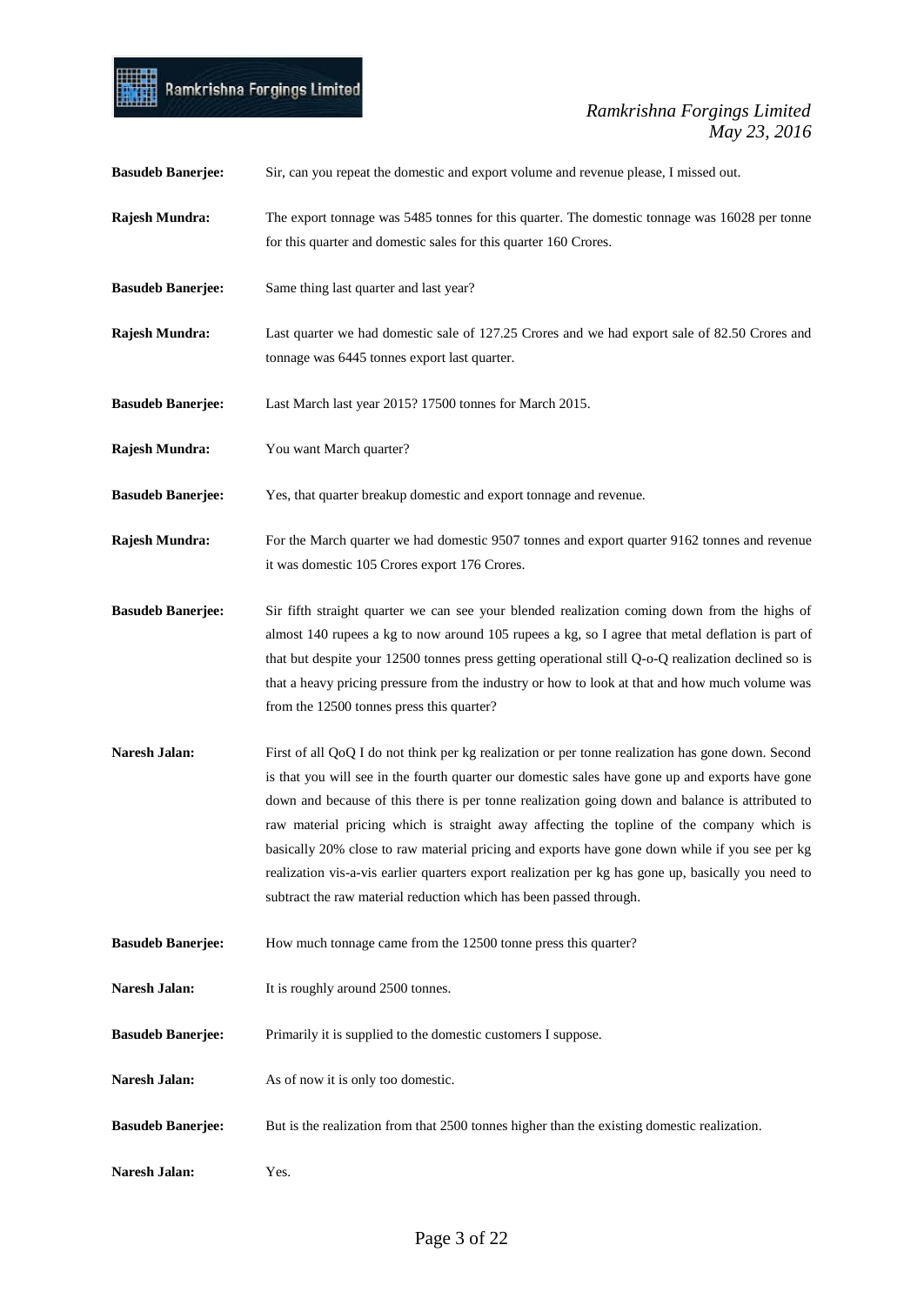

| <b>Basudeb Banerjee:</b> | Sir, can you repeat the domestic and export volume and revenue please, I missed out.                                                                                                                                                                                                                                                                                                                                                                                                                                                                                                                                                                                                 |
|--------------------------|--------------------------------------------------------------------------------------------------------------------------------------------------------------------------------------------------------------------------------------------------------------------------------------------------------------------------------------------------------------------------------------------------------------------------------------------------------------------------------------------------------------------------------------------------------------------------------------------------------------------------------------------------------------------------------------|
| Rajesh Mundra:           | The export tonnage was 5485 tonnes for this quarter. The domestic tonnage was 16028 per tonne<br>for this quarter and domestic sales for this quarter 160 Crores.                                                                                                                                                                                                                                                                                                                                                                                                                                                                                                                    |
| <b>Basudeb Banerjee:</b> | Same thing last quarter and last year?                                                                                                                                                                                                                                                                                                                                                                                                                                                                                                                                                                                                                                               |
| Rajesh Mundra:           | Last quarter we had domestic sale of 127.25 Crores and we had export sale of 82.50 Crores and<br>tonnage was 6445 tonnes export last quarter.                                                                                                                                                                                                                                                                                                                                                                                                                                                                                                                                        |
| <b>Basudeb Banerjee:</b> | Last March last year 2015? 17500 tonnes for March 2015.                                                                                                                                                                                                                                                                                                                                                                                                                                                                                                                                                                                                                              |
| Rajesh Mundra:           | You want March quarter?                                                                                                                                                                                                                                                                                                                                                                                                                                                                                                                                                                                                                                                              |
| <b>Basudeb Banerjee:</b> | Yes, that quarter breakup domestic and export tonnage and revenue.                                                                                                                                                                                                                                                                                                                                                                                                                                                                                                                                                                                                                   |
| Rajesh Mundra:           | For the March quarter we had domestic 9507 tonnes and export quarter 9162 tonnes and revenue<br>it was domestic 105 Crores export 176 Crores.                                                                                                                                                                                                                                                                                                                                                                                                                                                                                                                                        |
| <b>Basudeb Banerjee:</b> | Sir fifth straight quarter we can see your blended realization coming down from the highs of<br>almost 140 rupees a kg to now around 105 rupees a kg, so I agree that metal deflation is part of<br>that but despite your 12500 tonnes press getting operational still Q-o-Q realization declined so is<br>that a heavy pricing pressure from the industry or how to look at that and how much volume was<br>from the 12500 tonnes press this quarter?                                                                                                                                                                                                                               |
| Naresh Jalan:            | First of all QoQ I do not think per kg realization or per tonne realization has gone down. Second<br>is that you will see in the fourth quarter our domestic sales have gone up and exports have gone<br>down and because of this there is per tonne realization going down and balance is attributed to<br>raw material pricing which is straight away affecting the topline of the company which is<br>basically 20% close to raw material pricing and exports have gone down while if you see per kg<br>realization vis-a-vis earlier quarters export realization per kg has gone up, basically you need to<br>subtract the raw material reduction which has been passed through. |
| <b>Basudeb Banerjee:</b> | How much tonnage came from the 12500 tonne press this quarter?                                                                                                                                                                                                                                                                                                                                                                                                                                                                                                                                                                                                                       |
| Naresh Jalan:            | It is roughly around 2500 tonnes.                                                                                                                                                                                                                                                                                                                                                                                                                                                                                                                                                                                                                                                    |
| <b>Basudeb Banerjee:</b> | Primarily it is supplied to the domestic customers I suppose.                                                                                                                                                                                                                                                                                                                                                                                                                                                                                                                                                                                                                        |
| Naresh Jalan:            | As of now it is only too domestic.                                                                                                                                                                                                                                                                                                                                                                                                                                                                                                                                                                                                                                                   |
| <b>Basudeb Banerjee:</b> | But is the realization from that 2500 tonnes higher than the existing domestic realization.                                                                                                                                                                                                                                                                                                                                                                                                                                                                                                                                                                                          |
| Naresh Jalan:            | Yes.                                                                                                                                                                                                                                                                                                                                                                                                                                                                                                                                                                                                                                                                                 |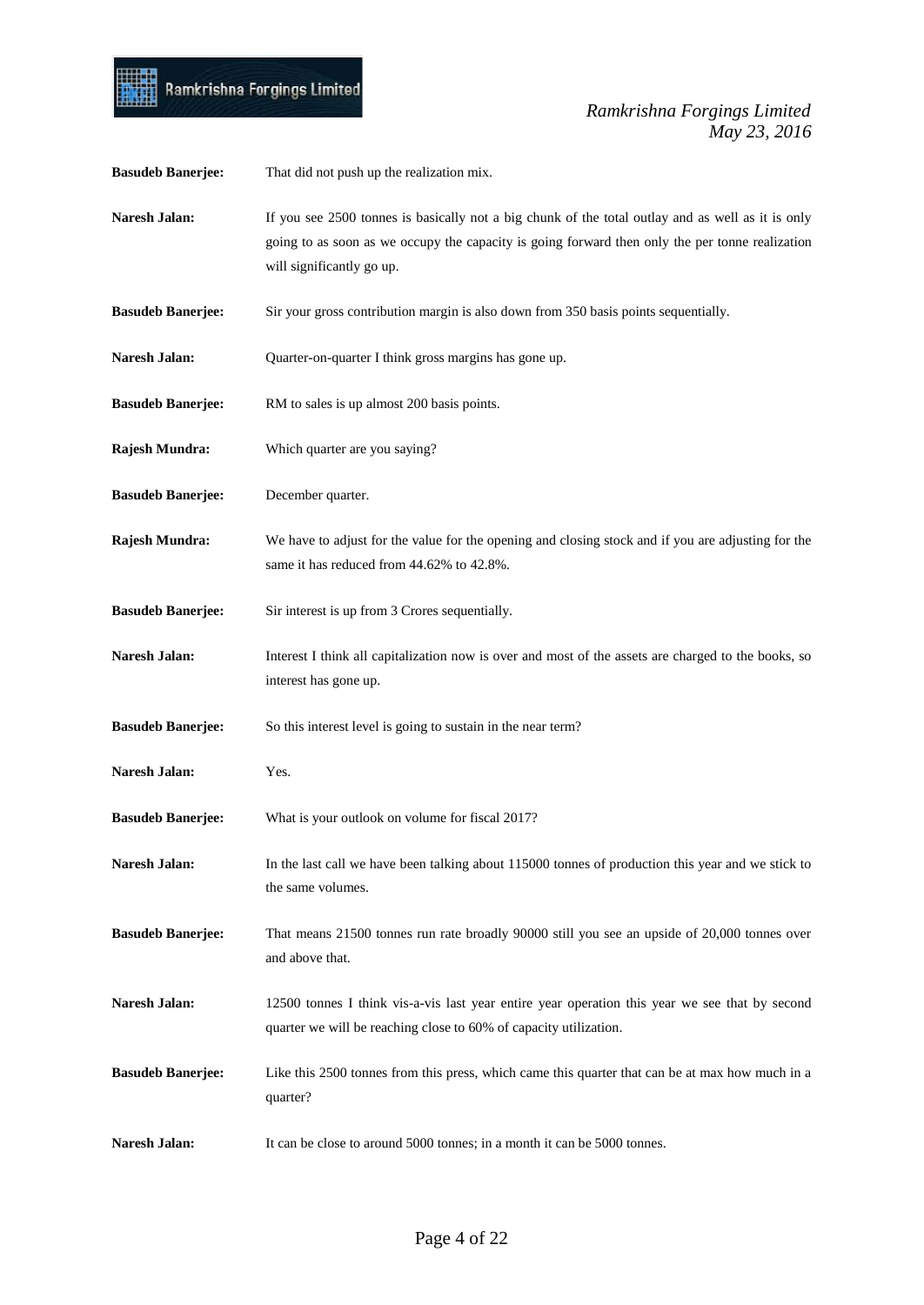

| <b>Basudeb Banerjee:</b> | That did not push up the realization mix.                                                                                                                                                                                         |
|--------------------------|-----------------------------------------------------------------------------------------------------------------------------------------------------------------------------------------------------------------------------------|
| Naresh Jalan:            | If you see 2500 tonnes is basically not a big chunk of the total outlay and as well as it is only<br>going to as soon as we occupy the capacity is going forward then only the per tonne realization<br>will significantly go up. |
| <b>Basudeb Banerjee:</b> | Sir your gross contribution margin is also down from 350 basis points sequentially.                                                                                                                                               |
| Naresh Jalan:            | Quarter-on-quarter I think gross margins has gone up.                                                                                                                                                                             |
| <b>Basudeb Banerjee:</b> | RM to sales is up almost 200 basis points.                                                                                                                                                                                        |
| Rajesh Mundra:           | Which quarter are you saying?                                                                                                                                                                                                     |
| <b>Basudeb Banerjee:</b> | December quarter.                                                                                                                                                                                                                 |
| Rajesh Mundra:           | We have to adjust for the value for the opening and closing stock and if you are adjusting for the<br>same it has reduced from 44.62% to 42.8%.                                                                                   |
| <b>Basudeb Banerjee:</b> | Sir interest is up from 3 Crores sequentially.                                                                                                                                                                                    |
| <b>Naresh Jalan:</b>     | Interest I think all capitalization now is over and most of the assets are charged to the books, so<br>interest has gone up.                                                                                                      |
| <b>Basudeb Banerjee:</b> | So this interest level is going to sustain in the near term?                                                                                                                                                                      |
| Naresh Jalan:            | Yes.                                                                                                                                                                                                                              |
| <b>Basudeb Banerjee:</b> | What is your outlook on volume for fiscal 2017?                                                                                                                                                                                   |
| Naresh Jalan:            | In the last call we have been talking about 115000 tonnes of production this year and we stick to<br>the same volumes.                                                                                                            |
| <b>Basudeb Banerjee:</b> | That means 21500 tonnes run rate broadly 90000 still you see an upside of 20,000 tonnes over<br>and above that.                                                                                                                   |
| Naresh Jalan:            | 12500 tonnes I think vis-a-vis last year entire year operation this year we see that by second<br>quarter we will be reaching close to 60% of capacity utilization.                                                               |
| <b>Basudeb Banerjee:</b> | Like this 2500 tonnes from this press, which came this quarter that can be at max how much in a<br>quarter?                                                                                                                       |
| Naresh Jalan:            | It can be close to around 5000 tonnes; in a month it can be 5000 tonnes.                                                                                                                                                          |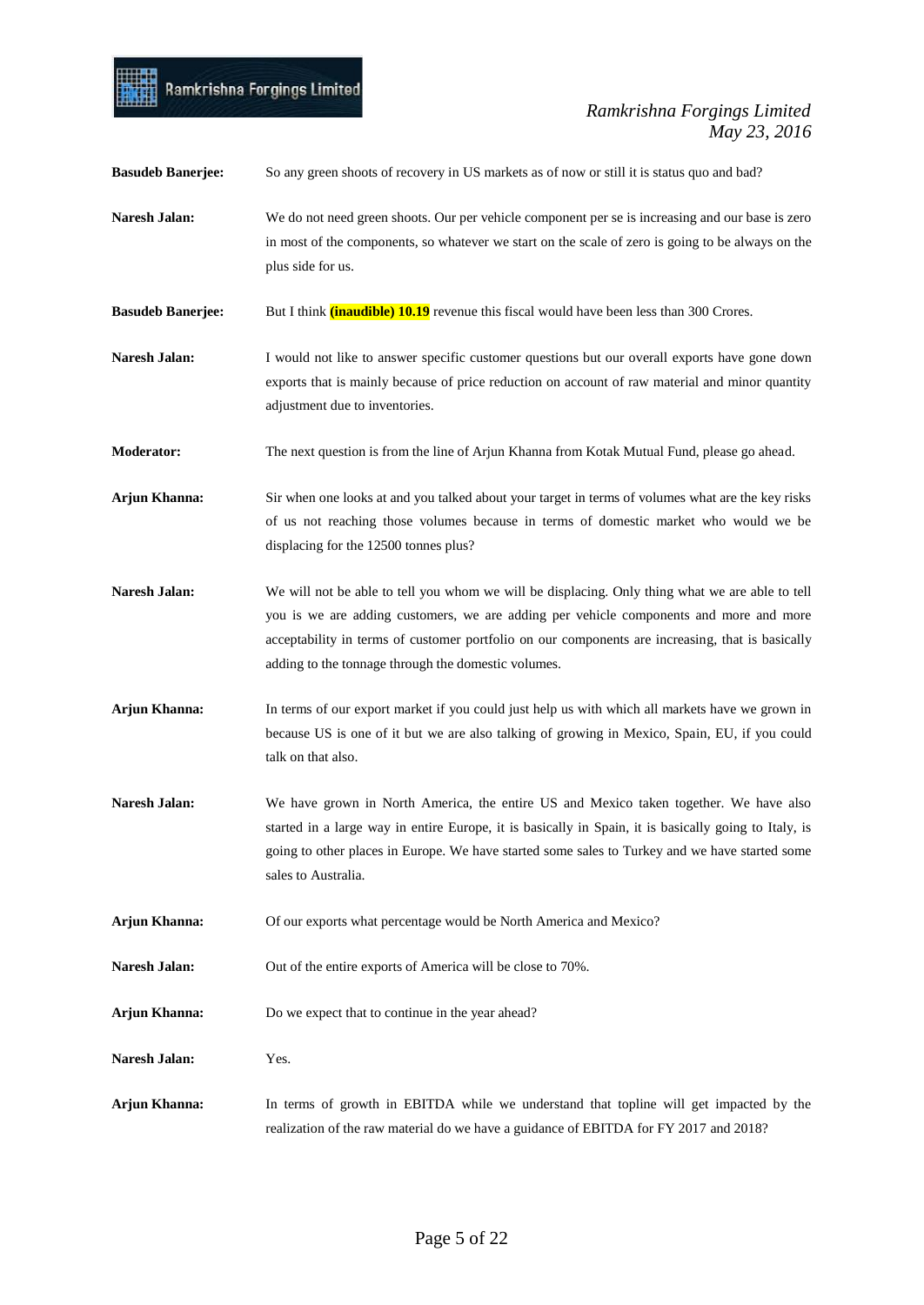

| <b>Basudeb Banerjee:</b> | So any green shoots of recovery in US markets as of now or still it is status quo and bad?                                                                                                                                                                                                                                                           |
|--------------------------|------------------------------------------------------------------------------------------------------------------------------------------------------------------------------------------------------------------------------------------------------------------------------------------------------------------------------------------------------|
| Naresh Jalan:            | We do not need green shoots. Our per vehicle component per se is increasing and our base is zero<br>in most of the components, so whatever we start on the scale of zero is going to be always on the<br>plus side for us.                                                                                                                           |
| <b>Basudeb Banerjee:</b> | But I think ( <i>inaudible</i> ) 10.19 revenue this fiscal would have been less than 300 Crores.                                                                                                                                                                                                                                                     |
| Naresh Jalan:            | I would not like to answer specific customer questions but our overall exports have gone down<br>exports that is mainly because of price reduction on account of raw material and minor quantity<br>adjustment due to inventories.                                                                                                                   |
| <b>Moderator:</b>        | The next question is from the line of Arjun Khanna from Kotak Mutual Fund, please go ahead.                                                                                                                                                                                                                                                          |
| Arjun Khanna:            | Sir when one looks at and you talked about your target in terms of volumes what are the key risks<br>of us not reaching those volumes because in terms of domestic market who would we be<br>displacing for the 12500 tonnes plus?                                                                                                                   |
| Naresh Jalan:            | We will not be able to tell you whom we will be displacing. Only thing what we are able to tell<br>you is we are adding customers, we are adding per vehicle components and more and more<br>acceptability in terms of customer portfolio on our components are increasing, that is basically<br>adding to the tonnage through the domestic volumes. |
| Arjun Khanna:            | In terms of our export market if you could just help us with which all markets have we grown in<br>because US is one of it but we are also talking of growing in Mexico, Spain, EU, if you could<br>talk on that also.                                                                                                                               |
| Naresh Jalan:            | We have grown in North America, the entire US and Mexico taken together. We have also<br>started in a large way in entire Europe, it is basically in Spain, it is basically going to Italy, is<br>going to other places in Europe. We have started some sales to Turkey and we have started some<br>sales to Australia.                              |
| Arjun Khanna:            | Of our exports what percentage would be North America and Mexico?                                                                                                                                                                                                                                                                                    |
| Naresh Jalan:            | Out of the entire exports of America will be close to 70%.                                                                                                                                                                                                                                                                                           |
| Arjun Khanna:            | Do we expect that to continue in the year ahead?                                                                                                                                                                                                                                                                                                     |
| Naresh Jalan:            | Yes.                                                                                                                                                                                                                                                                                                                                                 |
| Arjun Khanna:            | In terms of growth in EBITDA while we understand that topline will get impacted by the<br>realization of the raw material do we have a guidance of EBITDA for FY 2017 and 2018?                                                                                                                                                                      |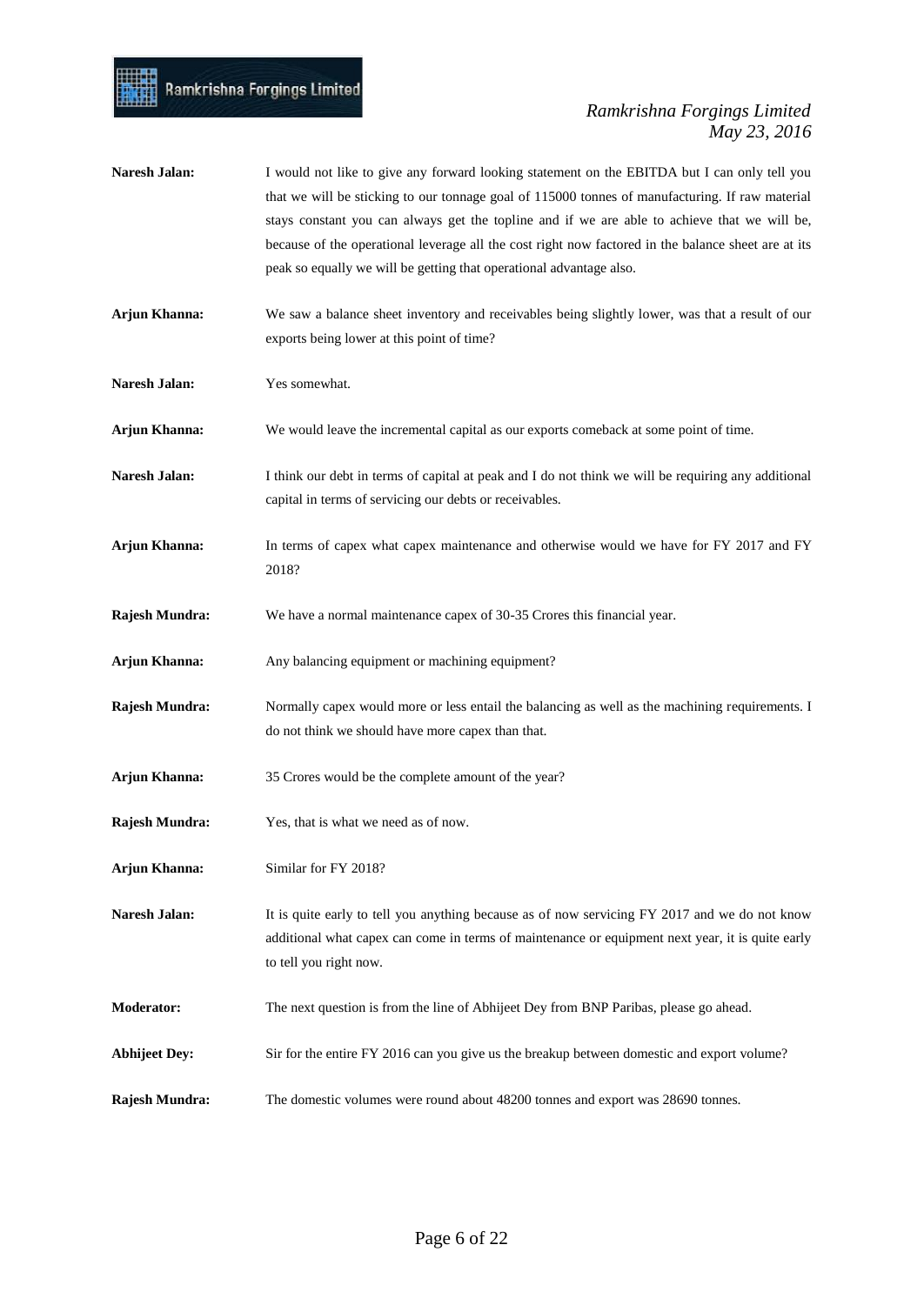- Naresh Jalan: I would not like to give any forward looking statement on the EBITDA but I can only tell you that we will be sticking to our tonnage goal of 115000 tonnes of manufacturing. If raw material stays constant you can always get the topline and if we are able to achieve that we will be, because of the operational leverage all the cost right now factored in the balance sheet are at its peak so equally we will be getting that operational advantage also. **Arjun Khanna:** We saw a balance sheet inventory and receivables being slightly lower, was that a result of our exports being lower at this point of time? **Naresh Jalan:** Yes somewhat. **Arjun Khanna:** We would leave the incremental capital as our exports comeback at some point of time. **Naresh Jalan:** I think our debt in terms of capital at peak and I do not think we will be requiring any additional capital in terms of servicing our debts or receivables.
- **Arjun Khanna:** In terms of capex what capex maintenance and otherwise would we have for FY 2017 and FY 2018?
- **Rajesh Mundra:** We have a normal maintenance capex of 30-35 Crores this financial year.
- Arjun Khanna: Any balancing equipment or machining equipment?
- **Rajesh Mundra:** Normally capex would more or less entail the balancing as well as the machining requirements. I do not think we should have more capex than that.
- **Arjun Khanna:** 35 Crores would be the complete amount of the year?
- **Rajesh Mundra:** Yes, that is what we need as of now.
- **Arjun Khanna:** Similar for FY 2018?
- Naresh Jalan: It is quite early to tell you anything because as of now servicing FY 2017 and we do not know additional what capex can come in terms of maintenance or equipment next year, it is quite early to tell you right now.
- **Moderator:** The next question is from the line of Abhijeet Dey from BNP Paribas, please go ahead.
- **Abhijeet Dey:** Sir for the entire FY 2016 can you give us the breakup between domestic and export volume?
- **Rajesh Mundra:** The domestic volumes were round about 48200 tonnes and export was 28690 tonnes.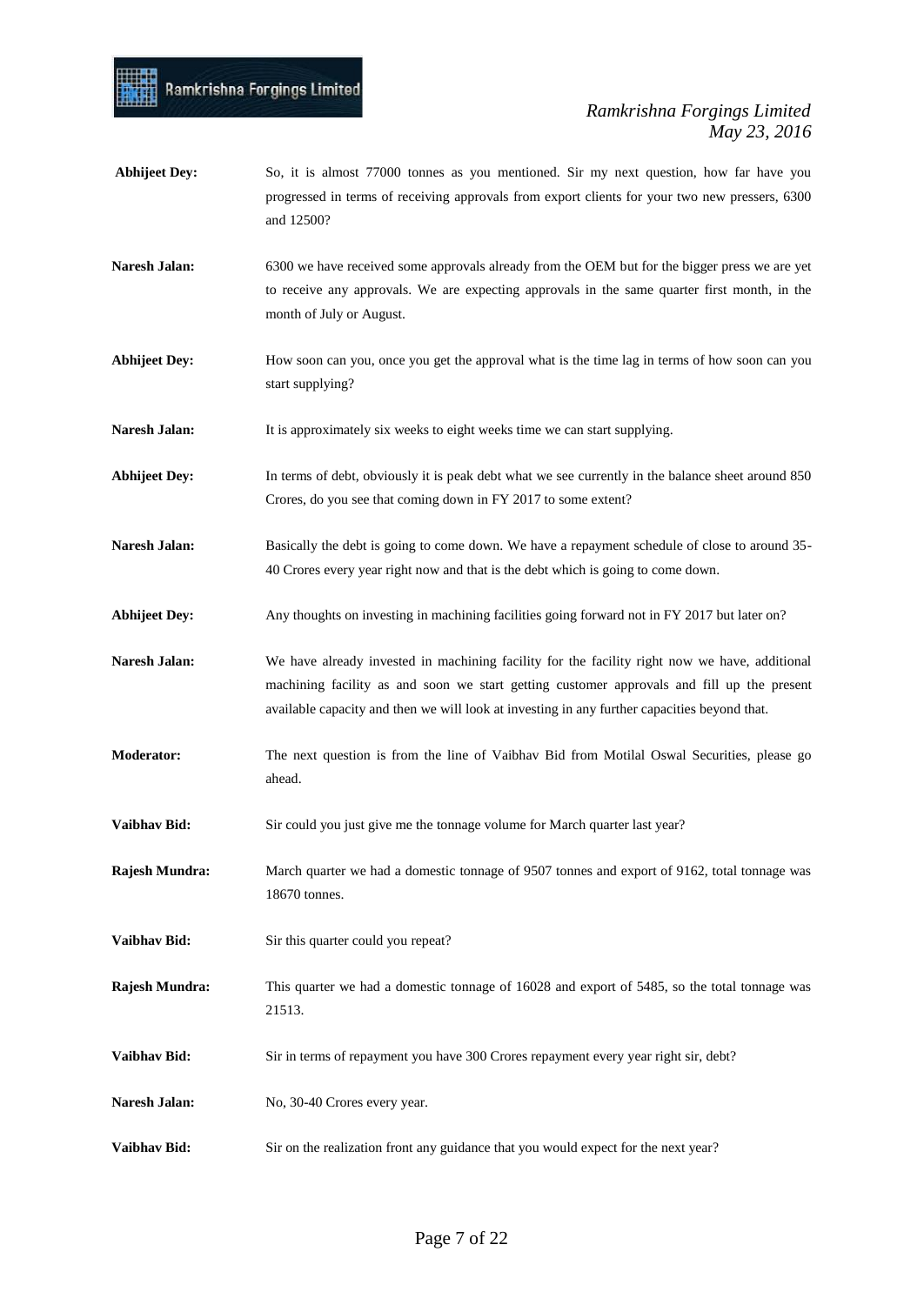- Abhijeet Dey: So, it is almost 77000 tonnes as you mentioned. Sir my next question, how far have you progressed in terms of receiving approvals from export clients for your two new pressers, 6300 and 12500?
- **Naresh Jalan:** 6300 we have received some approvals already from the OEM but for the bigger press we are yet to receive any approvals. We are expecting approvals in the same quarter first month, in the month of July or August.
- Abhijeet Dey: How soon can you, once you get the approval what is the time lag in terms of how soon can you start supplying?
- **Naresh Jalan:** It is approximately six weeks to eight weeks time we can start supplying.
- **Abhijeet Dey:** In terms of debt, obviously it is peak debt what we see currently in the balance sheet around 850 Crores, do you see that coming down in FY 2017 to some extent?
- Naresh Jalan: Basically the debt is going to come down. We have a repayment schedule of close to around 35-40 Crores every year right now and that is the debt which is going to come down.
- Abhijeet Dey: Any thoughts on investing in machining facilities going forward not in FY 2017 but later on?
- Naresh Jalan: We have already invested in machining facility for the facility right now we have, additional machining facility as and soon we start getting customer approvals and fill up the present available capacity and then we will look at investing in any further capacities beyond that.
- **Moderator:** The next question is from the line of Vaibhav Bid from Motilal Oswal Securities, please go ahead.
- **Vaibhav Bid:** Sir could you just give me the tonnage volume for March quarter last year?
- **Rajesh Mundra:** March quarter we had a domestic tonnage of 9507 tonnes and export of 9162, total tonnage was 18670 tonnes.
- **Vaibhav Bid:** Sir this quarter could you repeat?
- **Rajesh Mundra:** This quarter we had a domestic tonnage of 16028 and export of 5485, so the total tonnage was 21513.
- **Vaibhav Bid:** Sir in terms of repayment you have 300 Crores repayment every year right sir, debt?
- Naresh Jalan: No, 30-40 Crores every year.
- **Vaibhav Bid:** Sir on the realization front any guidance that you would expect for the next year?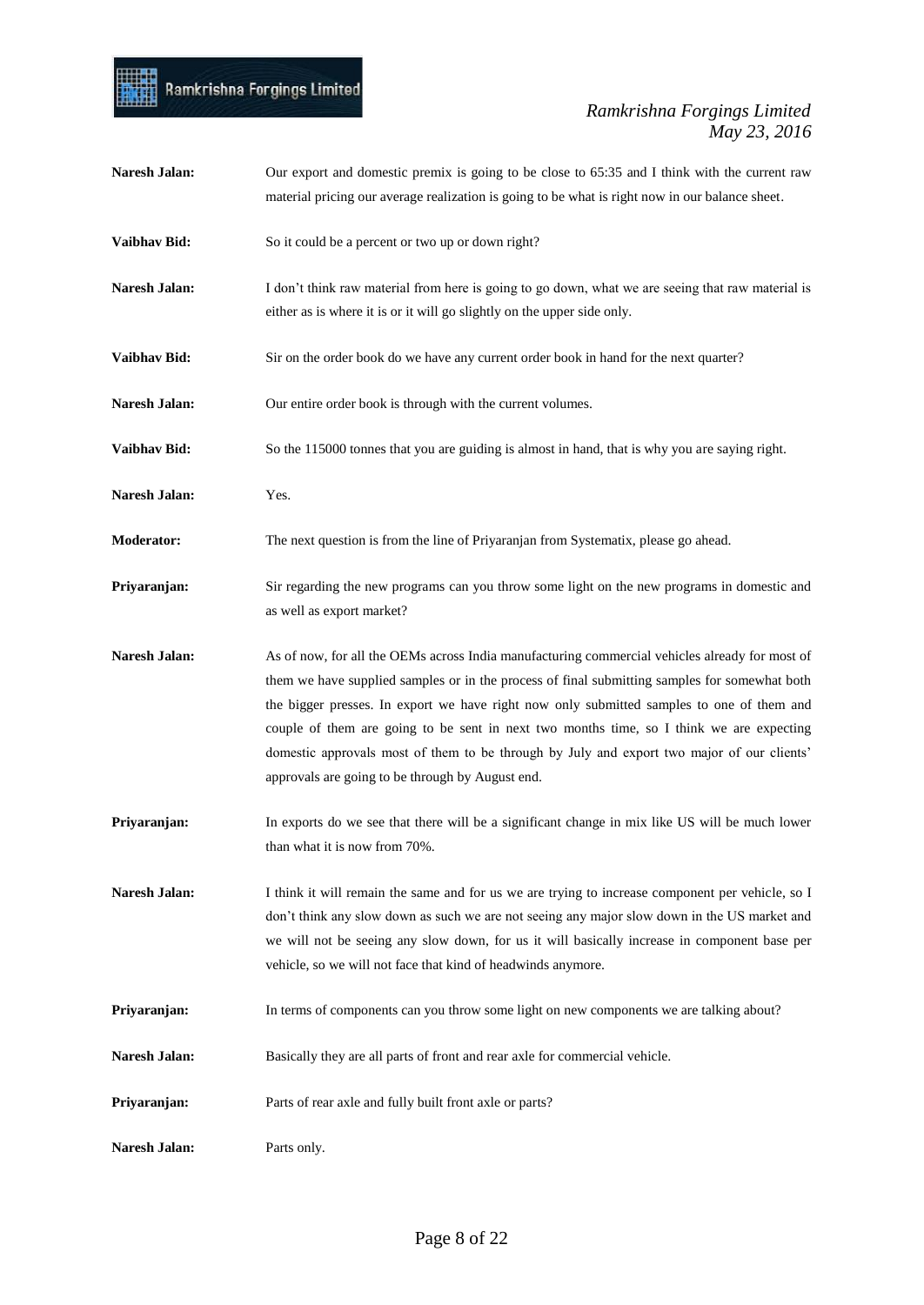## Ramkrishna Forgings Limited

mil

| Naresh Jalan:     | Our export and domestic premix is going to be close to 65:35 and I think with the current raw<br>material pricing our average realization is going to be what is right now in our balance sheet.                                                                                                                                                                                                                                                                                                                                           |
|-------------------|--------------------------------------------------------------------------------------------------------------------------------------------------------------------------------------------------------------------------------------------------------------------------------------------------------------------------------------------------------------------------------------------------------------------------------------------------------------------------------------------------------------------------------------------|
| Vaibhav Bid:      | So it could be a percent or two up or down right?                                                                                                                                                                                                                                                                                                                                                                                                                                                                                          |
| Naresh Jalan:     | I don't think raw material from here is going to go down, what we are seeing that raw material is<br>either as is where it is or it will go slightly on the upper side only.                                                                                                                                                                                                                                                                                                                                                               |
| Vaibhav Bid:      | Sir on the order book do we have any current order book in hand for the next quarter?                                                                                                                                                                                                                                                                                                                                                                                                                                                      |
| Naresh Jalan:     | Our entire order book is through with the current volumes.                                                                                                                                                                                                                                                                                                                                                                                                                                                                                 |
| Vaibhav Bid:      | So the 115000 tonnes that you are guiding is almost in hand, that is why you are saying right.                                                                                                                                                                                                                                                                                                                                                                                                                                             |
| Naresh Jalan:     | Yes.                                                                                                                                                                                                                                                                                                                                                                                                                                                                                                                                       |
| <b>Moderator:</b> | The next question is from the line of Priyaranjan from Systematix, please go ahead.                                                                                                                                                                                                                                                                                                                                                                                                                                                        |
| Priyaranjan:      | Sir regarding the new programs can you throw some light on the new programs in domestic and<br>as well as export market?                                                                                                                                                                                                                                                                                                                                                                                                                   |
| Naresh Jalan:     | As of now, for all the OEMs across India manufacturing commercial vehicles already for most of<br>them we have supplied samples or in the process of final submitting samples for somewhat both<br>the bigger presses. In export we have right now only submitted samples to one of them and<br>couple of them are going to be sent in next two months time, so I think we are expecting<br>domestic approvals most of them to be through by July and export two major of our clients'<br>approvals are going to be through by August end. |
| Priyaranjan:      | In exports do we see that there will be a significant change in mix like US will be much lower<br>than what it is now from 70%.                                                                                                                                                                                                                                                                                                                                                                                                            |
| Naresh Jalan:     | I think it will remain the same and for us we are trying to increase component per vehicle, so I<br>don't think any slow down as such we are not seeing any major slow down in the US market and<br>we will not be seeing any slow down, for us it will basically increase in component base per<br>vehicle, so we will not face that kind of headwinds anymore.                                                                                                                                                                           |
| Priyaranjan:      | In terms of components can you throw some light on new components we are talking about?                                                                                                                                                                                                                                                                                                                                                                                                                                                    |
| Naresh Jalan:     | Basically they are all parts of front and rear axle for commercial vehicle.                                                                                                                                                                                                                                                                                                                                                                                                                                                                |
| Priyaranjan:      | Parts of rear axle and fully built front axle or parts?                                                                                                                                                                                                                                                                                                                                                                                                                                                                                    |
| Naresh Jalan:     | Parts only.                                                                                                                                                                                                                                                                                                                                                                                                                                                                                                                                |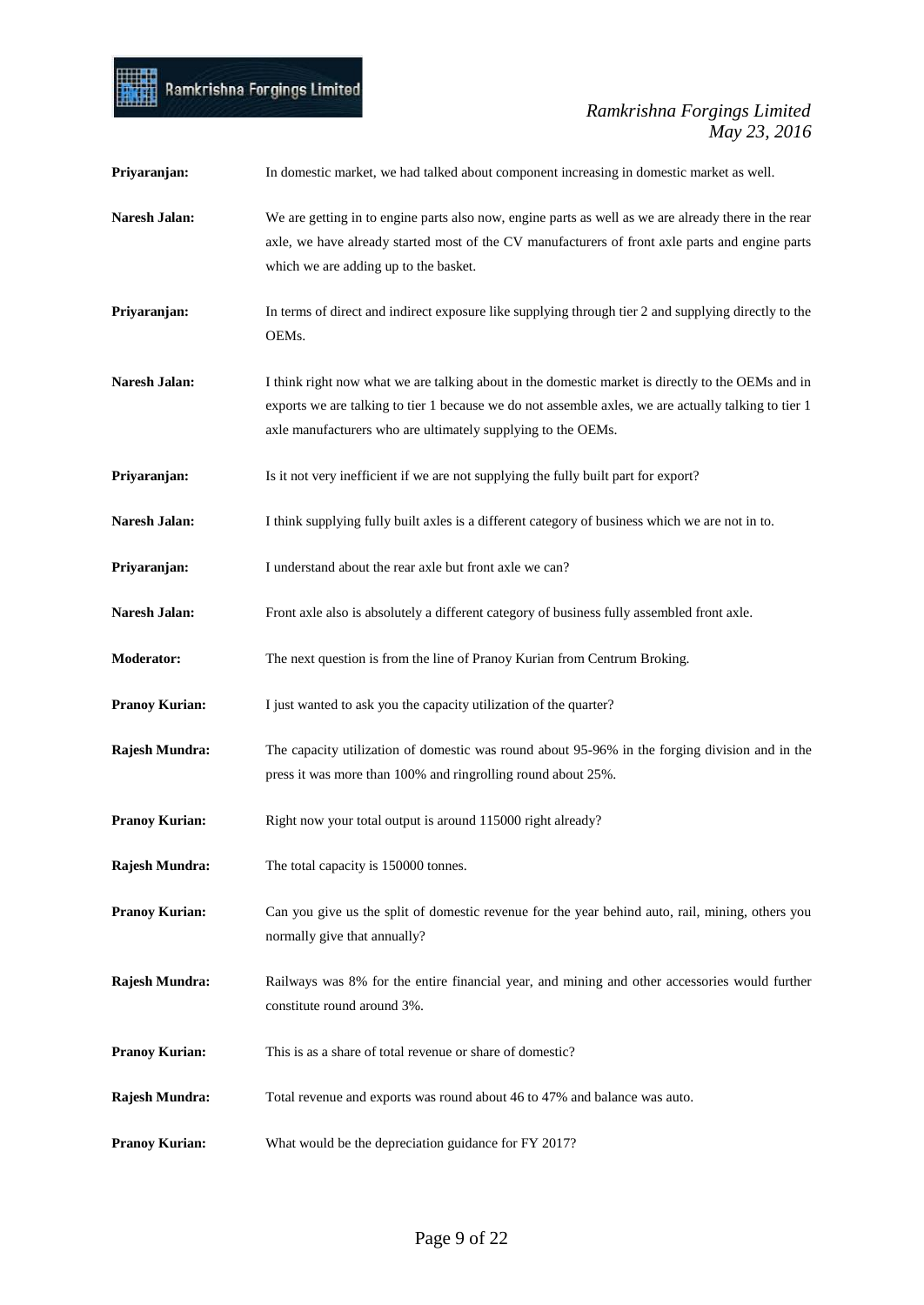

| Priyaranjan:          | In domestic market, we had talked about component increasing in domestic market as well.                                                                                                                                                                                  |
|-----------------------|---------------------------------------------------------------------------------------------------------------------------------------------------------------------------------------------------------------------------------------------------------------------------|
| Naresh Jalan:         | We are getting in to engine parts also now, engine parts as well as we are already there in the rear<br>axle, we have already started most of the CV manufacturers of front axle parts and engine parts<br>which we are adding up to the basket.                          |
| Priyaranjan:          | In terms of direct and indirect exposure like supplying through tier 2 and supplying directly to the<br>OEMs.                                                                                                                                                             |
| Naresh Jalan:         | I think right now what we are talking about in the domestic market is directly to the OEMs and in<br>exports we are talking to tier 1 because we do not assemble axles, we are actually talking to tier 1<br>axle manufacturers who are ultimately supplying to the OEMs. |
| Priyaranjan:          | Is it not very inefficient if we are not supplying the fully built part for export?                                                                                                                                                                                       |
| Naresh Jalan:         | I think supplying fully built axles is a different category of business which we are not in to.                                                                                                                                                                           |
| Priyaranjan:          | I understand about the rear axle but front axle we can?                                                                                                                                                                                                                   |
| Naresh Jalan:         | Front axle also is absolutely a different category of business fully assembled front axle.                                                                                                                                                                                |
| <b>Moderator:</b>     | The next question is from the line of Pranoy Kurian from Centrum Broking.                                                                                                                                                                                                 |
| <b>Pranoy Kurian:</b> | I just wanted to ask you the capacity utilization of the quarter?                                                                                                                                                                                                         |
| Rajesh Mundra:        | The capacity utilization of domestic was round about 95-96% in the forging division and in the<br>press it was more than 100% and ringrolling round about 25%.                                                                                                            |
| <b>Pranoy Kurian:</b> | Right now your total output is around 115000 right already?                                                                                                                                                                                                               |
| Rajesh Mundra:        | The total capacity is 150000 tonnes.                                                                                                                                                                                                                                      |
| <b>Pranoy Kurian:</b> | Can you give us the split of domestic revenue for the year behind auto, rail, mining, others you<br>normally give that annually?                                                                                                                                          |
| Rajesh Mundra:        | Railways was 8% for the entire financial year, and mining and other accessories would further<br>constitute round around 3%.                                                                                                                                              |
| <b>Pranoy Kurian:</b> | This is as a share of total revenue or share of domestic?                                                                                                                                                                                                                 |
| Rajesh Mundra:        | Total revenue and exports was round about 46 to 47% and balance was auto.                                                                                                                                                                                                 |
| <b>Pranoy Kurian:</b> | What would be the depreciation guidance for FY 2017?                                                                                                                                                                                                                      |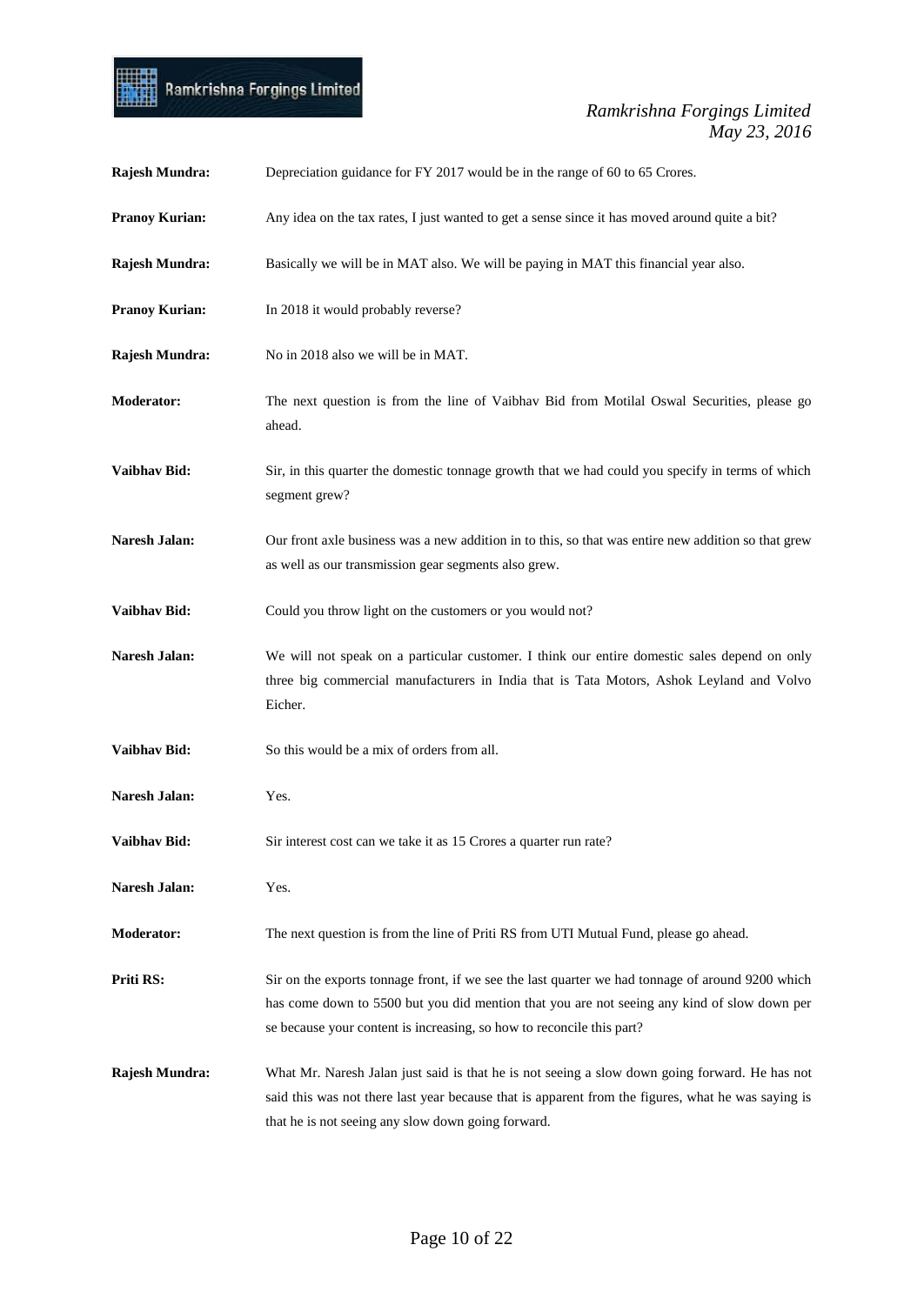

| Rajesh Mundra:        | Depreciation guidance for FY 2017 would be in the range of 60 to 65 Crores.                                                                                                                                                                                              |
|-----------------------|--------------------------------------------------------------------------------------------------------------------------------------------------------------------------------------------------------------------------------------------------------------------------|
| <b>Pranoy Kurian:</b> | Any idea on the tax rates, I just wanted to get a sense since it has moved around quite a bit?                                                                                                                                                                           |
| Rajesh Mundra:        | Basically we will be in MAT also. We will be paying in MAT this financial year also.                                                                                                                                                                                     |
| <b>Pranoy Kurian:</b> | In 2018 it would probably reverse?                                                                                                                                                                                                                                       |
| Rajesh Mundra:        | No in 2018 also we will be in MAT.                                                                                                                                                                                                                                       |
| <b>Moderator:</b>     | The next question is from the line of Vaibhav Bid from Motilal Oswal Securities, please go<br>ahead.                                                                                                                                                                     |
| Vaibhav Bid:          | Sir, in this quarter the domestic tonnage growth that we had could you specify in terms of which<br>segment grew?                                                                                                                                                        |
| <b>Naresh Jalan:</b>  | Our front axle business was a new addition in to this, so that was entire new addition so that grew<br>as well as our transmission gear segments also grew.                                                                                                              |
| Vaibhav Bid:          | Could you throw light on the customers or you would not?                                                                                                                                                                                                                 |
| <b>Naresh Jalan:</b>  | We will not speak on a particular customer. I think our entire domestic sales depend on only<br>three big commercial manufacturers in India that is Tata Motors, Ashok Leyland and Volvo<br>Eicher.                                                                      |
| Vaibhav Bid:          | So this would be a mix of orders from all.                                                                                                                                                                                                                               |
| Naresh Jalan:         | Yes.                                                                                                                                                                                                                                                                     |
| <b>Vaibhav Bid:</b>   | Sir interest cost can we take it as 15 Crores a quarter run rate?                                                                                                                                                                                                        |
| Naresh Jalan:         | Yes.                                                                                                                                                                                                                                                                     |
| <b>Moderator:</b>     | The next question is from the line of Priti RS from UTI Mutual Fund, please go ahead.                                                                                                                                                                                    |
| Priti RS:             | Sir on the exports tonnage front, if we see the last quarter we had tonnage of around 9200 which<br>has come down to 5500 but you did mention that you are not seeing any kind of slow down per<br>se because your content is increasing, so how to reconcile this part? |
| Rajesh Mundra:        | What Mr. Naresh Jalan just said is that he is not seeing a slow down going forward. He has not<br>said this was not there last year because that is apparent from the figures, what he was saying is<br>that he is not seeing any slow down going forward.               |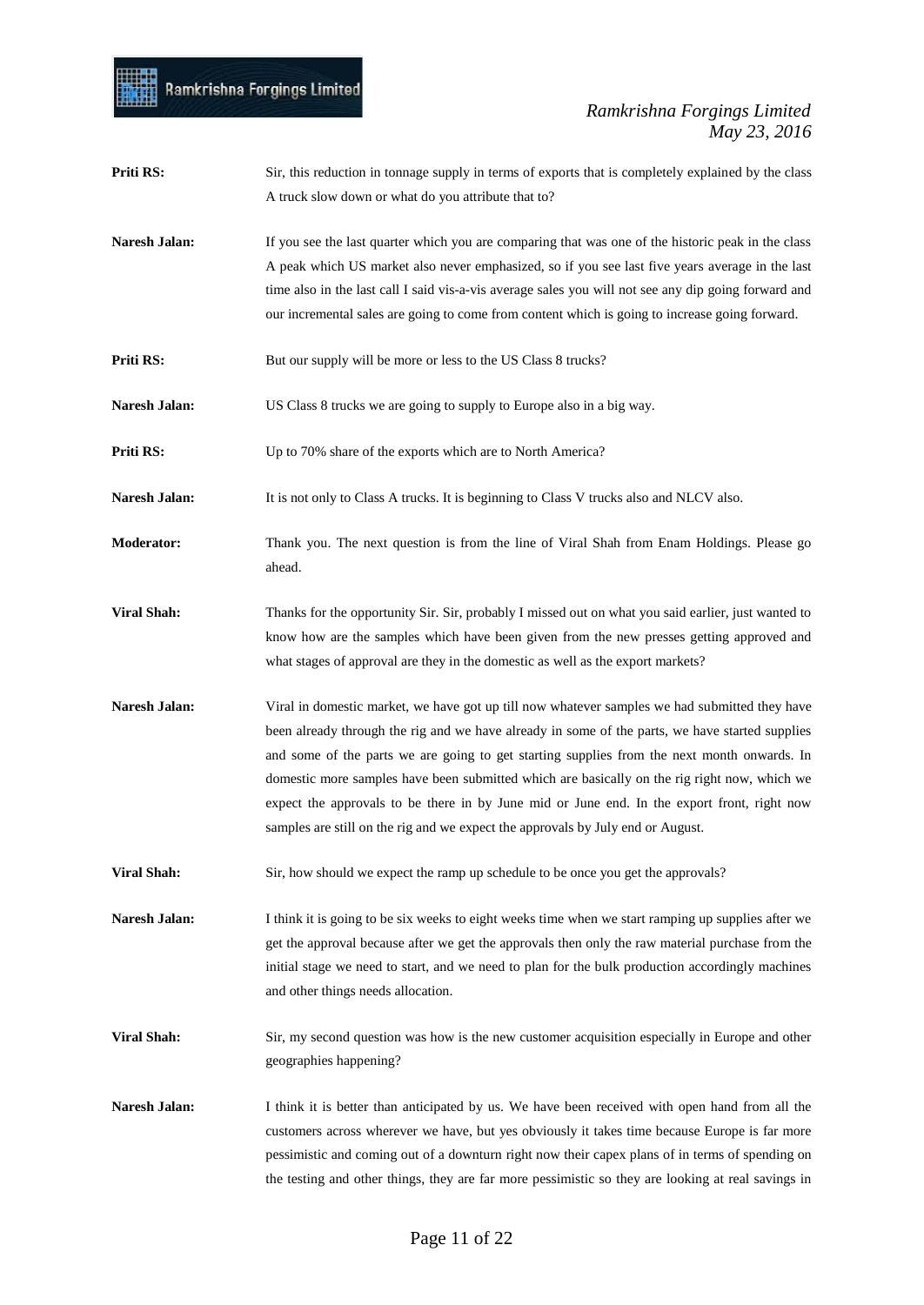| Priti RS:          | Sir, this reduction in tonnage supply in terms of exports that is completely explained by the class<br>A truck slow down or what do you attribute that to?                                                                                                                                                                                                                                                                                                                                                                                                                        |
|--------------------|-----------------------------------------------------------------------------------------------------------------------------------------------------------------------------------------------------------------------------------------------------------------------------------------------------------------------------------------------------------------------------------------------------------------------------------------------------------------------------------------------------------------------------------------------------------------------------------|
| Naresh Jalan:      | If you see the last quarter which you are comparing that was one of the historic peak in the class<br>A peak which US market also never emphasized, so if you see last five years average in the last<br>time also in the last call I said vis-a-vis average sales you will not see any dip going forward and<br>our incremental sales are going to come from content which is going to increase going forward.                                                                                                                                                                   |
| Priti RS:          | But our supply will be more or less to the US Class 8 trucks?                                                                                                                                                                                                                                                                                                                                                                                                                                                                                                                     |
| Naresh Jalan:      | US Class 8 trucks we are going to supply to Europe also in a big way.                                                                                                                                                                                                                                                                                                                                                                                                                                                                                                             |
| Priti RS:          | Up to 70% share of the exports which are to North America?                                                                                                                                                                                                                                                                                                                                                                                                                                                                                                                        |
| Naresh Jalan:      | It is not only to Class A trucks. It is beginning to Class V trucks also and NLCV also.                                                                                                                                                                                                                                                                                                                                                                                                                                                                                           |
| <b>Moderator:</b>  | Thank you. The next question is from the line of Viral Shah from Enam Holdings. Please go<br>ahead.                                                                                                                                                                                                                                                                                                                                                                                                                                                                               |
| <b>Viral Shah:</b> | Thanks for the opportunity Sir. Sir, probably I missed out on what you said earlier, just wanted to<br>know how are the samples which have been given from the new presses getting approved and<br>what stages of approval are they in the domestic as well as the export markets?                                                                                                                                                                                                                                                                                                |
| Naresh Jalan:      | Viral in domestic market, we have got up till now whatever samples we had submitted they have<br>been already through the rig and we have already in some of the parts, we have started supplies<br>and some of the parts we are going to get starting supplies from the next month onwards. In<br>domestic more samples have been submitted which are basically on the rig right now, which we<br>expect the approvals to be there in by June mid or June end. In the export front, right now<br>samples are still on the rig and we expect the approvals by July end or August. |
| <b>Viral Shah:</b> | Sir, how should we expect the ramp up schedule to be once you get the approvals?                                                                                                                                                                                                                                                                                                                                                                                                                                                                                                  |
| Naresh Jalan:      | I think it is going to be six weeks to eight weeks time when we start ramping up supplies after we<br>get the approval because after we get the approvals then only the raw material purchase from the<br>initial stage we need to start, and we need to plan for the bulk production accordingly machines<br>and other things needs allocation.                                                                                                                                                                                                                                  |
| <b>Viral Shah:</b> | Sir, my second question was how is the new customer acquisition especially in Europe and other<br>geographies happening?                                                                                                                                                                                                                                                                                                                                                                                                                                                          |
| Naresh Jalan:      | I think it is better than anticipated by us. We have been received with open hand from all the<br>customers across wherever we have, but yes obviously it takes time because Europe is far more<br>pessimistic and coming out of a downturn right now their capex plans of in terms of spending on<br>the testing and other things, they are far more pessimistic so they are looking at real savings in                                                                                                                                                                          |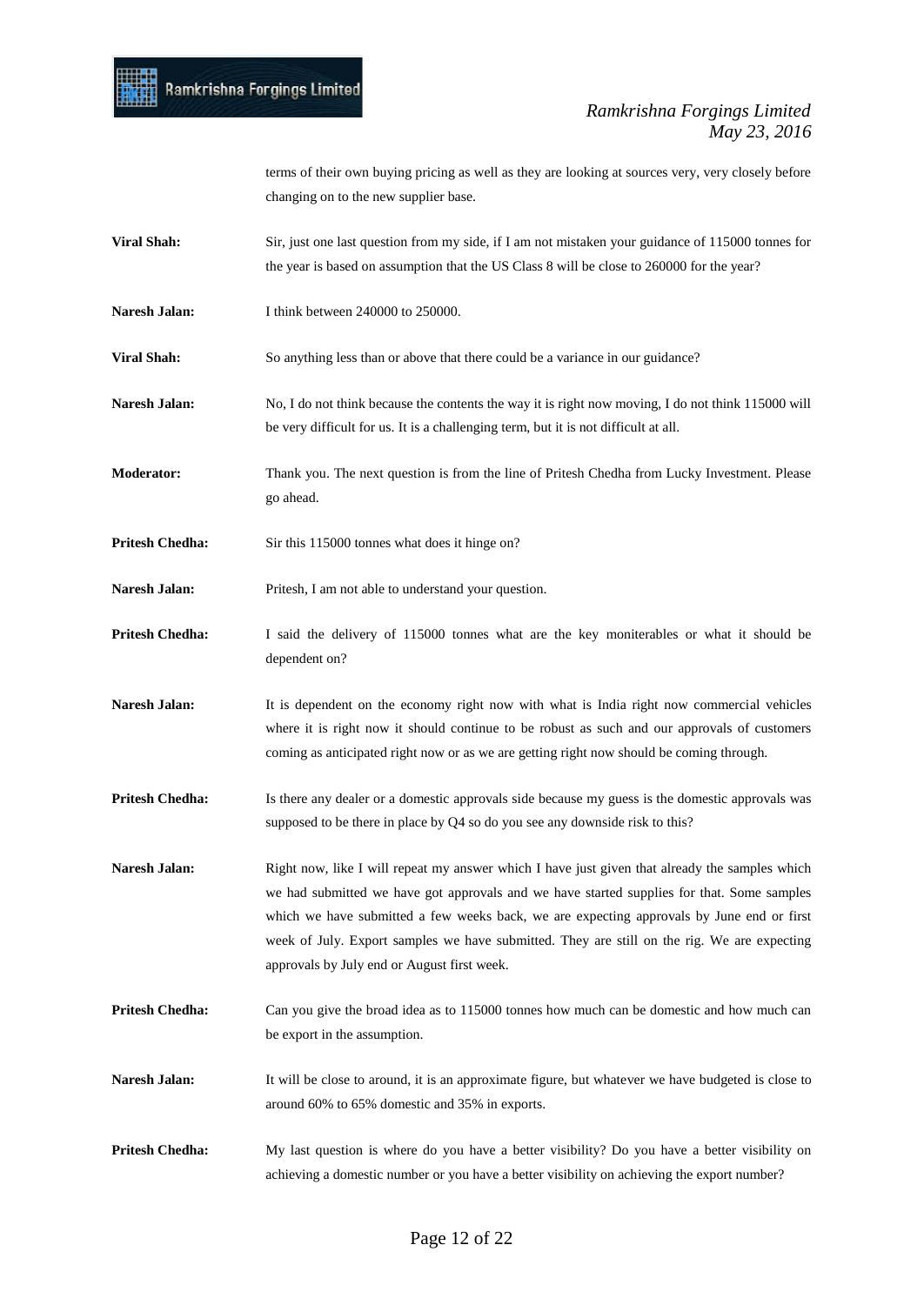

terms of their own buying pricing as well as they are looking at sources very, very closely before changing on to the new supplier base.

- **Viral Shah:** Sir, just one last question from my side, if I am not mistaken your guidance of 115000 tonnes for the year is based on assumption that the US Class 8 will be close to 260000 for the year?
- Naresh Jalan: I think between 240000 to 250000.

**Viral Shah:** So anything less than or above that there could be a variance in our guidance?

- Naresh Jalan: No, I do not think because the contents the way it is right now moving, I do not think 115000 will be very difficult for us. It is a challenging term, but it is not difficult at all.
- **Moderator:** Thank you. The next question is from the line of Pritesh Chedha from Lucky Investment. Please go ahead.
- **Pritesh Chedha:** Sir this 115000 tonnes what does it hinge on?
- **Naresh Jalan:** Pritesh, I am not able to understand your question.
- **Pritesh Chedha:** I said the delivery of 115000 tonnes what are the key moniterables or what it should be dependent on?
- Naresh Jalan: It is dependent on the economy right now with what is India right now commercial vehicles where it is right now it should continue to be robust as such and our approvals of customers coming as anticipated right now or as we are getting right now should be coming through.
- **Pritesh Chedha:** Is there any dealer or a domestic approvals side because my guess is the domestic approvals was supposed to be there in place by Q4 so do you see any downside risk to this?
- **Naresh Jalan:** Right now, like I will repeat my answer which I have just given that already the samples which we had submitted we have got approvals and we have started supplies for that. Some samples which we have submitted a few weeks back, we are expecting approvals by June end or first week of July. Export samples we have submitted. They are still on the rig. We are expecting approvals by July end or August first week.
- **Pritesh Chedha:** Can you give the broad idea as to 115000 tonnes how much can be domestic and how much can be export in the assumption.
- Naresh Jalan: It will be close to around, it is an approximate figure, but whatever we have budgeted is close to around 60% to 65% domestic and 35% in exports.
- **Pritesh Chedha:** My last question is where do you have a better visibility? Do you have a better visibility on achieving a domestic number or you have a better visibility on achieving the export number?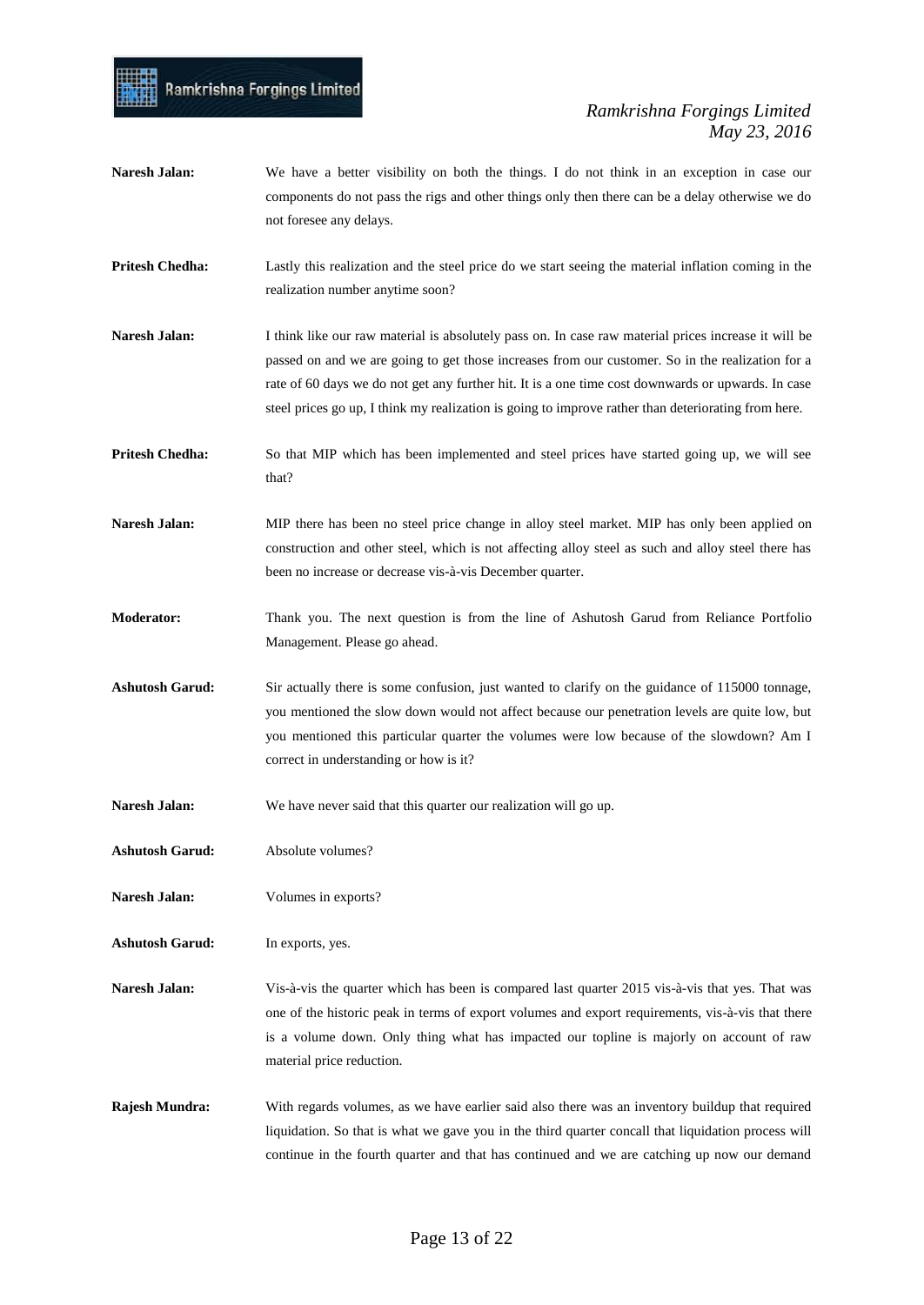- Naresh Jalan: We have a better visibility on both the things. I do not think in an exception in case our components do not pass the rigs and other things only then there can be a delay otherwise we do not foresee any delays.
- **Pritesh Chedha:** Lastly this realization and the steel price do we start seeing the material inflation coming in the realization number anytime soon?
- **Naresh Jalan:** I think like our raw material is absolutely pass on. In case raw material prices increase it will be passed on and we are going to get those increases from our customer. So in the realization for a rate of 60 days we do not get any further hit. It is a one time cost downwards or upwards. In case steel prices go up, I think my realization is going to improve rather than deteriorating from here.
- **Pritesh Chedha:** So that MIP which has been implemented and steel prices have started going up, we will see that?
- Naresh Jalan: MIP there has been no steel price change in alloy steel market. MIP has only been applied on construction and other steel, which is not affecting alloy steel as such and alloy steel there has been no increase or decrease vis-à-vis December quarter.
- **Moderator:** Thank you. The next question is from the line of Ashutosh Garud from Reliance Portfolio Management. Please go ahead.
- **Ashutosh Garud:** Sir actually there is some confusion, just wanted to clarify on the guidance of 115000 tonnage, you mentioned the slow down would not affect because our penetration levels are quite low, but you mentioned this particular quarter the volumes were low because of the slowdown? Am I correct in understanding or how is it?
- Naresh Jalan: We have never said that this quarter our realization will go up.
- **Ashutosh Garud:** Absolute volumes?

Ramkrishna Forgings Limited

- **Naresh Jalan:** Volumes in exports?
- **Ashutosh Garud:** In exports, yes.
- **Naresh Jalan:** Vis-à-vis the quarter which has been is compared last quarter 2015 vis-à-vis that yes. That was one of the historic peak in terms of export volumes and export requirements, vis-à-vis that there is a volume down. Only thing what has impacted our topline is majorly on account of raw material price reduction.
- **Rajesh Mundra:** With regards volumes, as we have earlier said also there was an inventory buildup that required liquidation. So that is what we gave you in the third quarter concall that liquidation process will continue in the fourth quarter and that has continued and we are catching up now our demand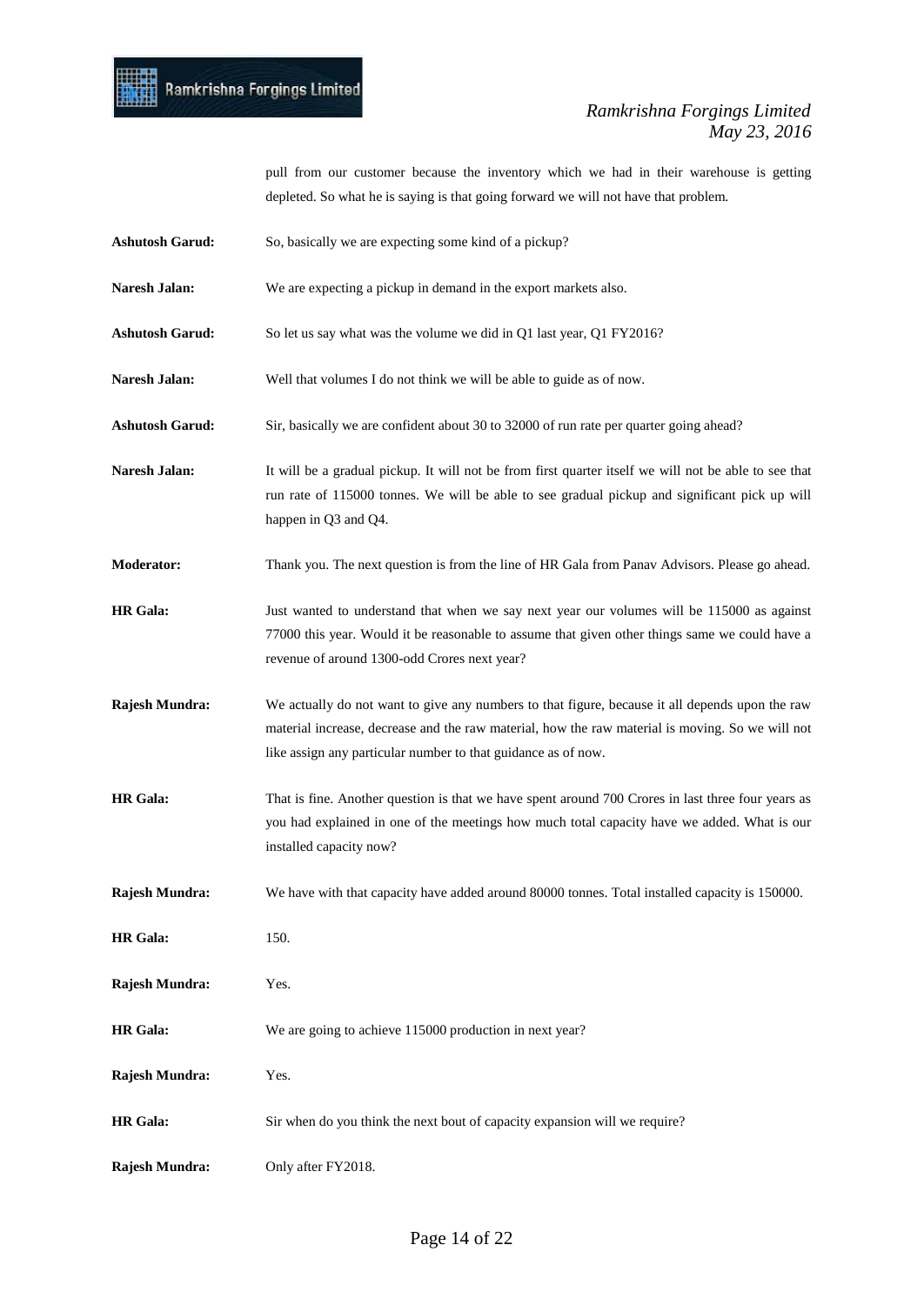

pull from our customer because the inventory which we had in their warehouse is getting depleted. So what he is saying is that going forward we will not have that problem.

- Ashutosh Garud: So, basically we are expecting some kind of a pickup?
- Naresh Jalan: We are expecting a pickup in demand in the export markets also.
- **Ashutosh Garud:** So let us say what was the volume we did in Q1 last year, Q1 FY2016?
- Naresh Jalan: Well that volumes I do not think we will be able to guide as of now.
- **Ashutosh Garud:** Sir, basically we are confident about 30 to 32000 of run rate per quarter going ahead?
- Naresh Jalan: It will be a gradual pickup. It will not be from first quarter itself we will not be able to see that run rate of 115000 tonnes. We will be able to see gradual pickup and significant pick up will happen in Q3 and Q4.
- **Moderator:** Thank you. The next question is from the line of HR Gala from Panav Advisors. Please go ahead.
- **HR Gala:** Just wanted to understand that when we say next year our volumes will be 115000 as against 77000 this year. Would it be reasonable to assume that given other things same we could have a revenue of around 1300-odd Crores next year?
- **Rajesh Mundra:** We actually do not want to give any numbers to that figure, because it all depends upon the raw material increase, decrease and the raw material, how the raw material is moving. So we will not like assign any particular number to that guidance as of now.
- **HR Gala:** That is fine. Another question is that we have spent around 700 Crores in last three four years as you had explained in one of the meetings how much total capacity have we added. What is our installed capacity now?
- **Rajesh Mundra:** We have with that capacity have added around 80000 tonnes. Total installed capacity is 150000.

**HR Gala:** 150. **Rajesh Mundra:** Yes.

- **HR Gala:** We are going to achieve 115000 production in next year?
- **Rajesh Mundra:** Yes.
- **HR Gala:** Sir when do you think the next bout of capacity expansion will we require?
- **Rajesh Mundra:** Only after FY2018.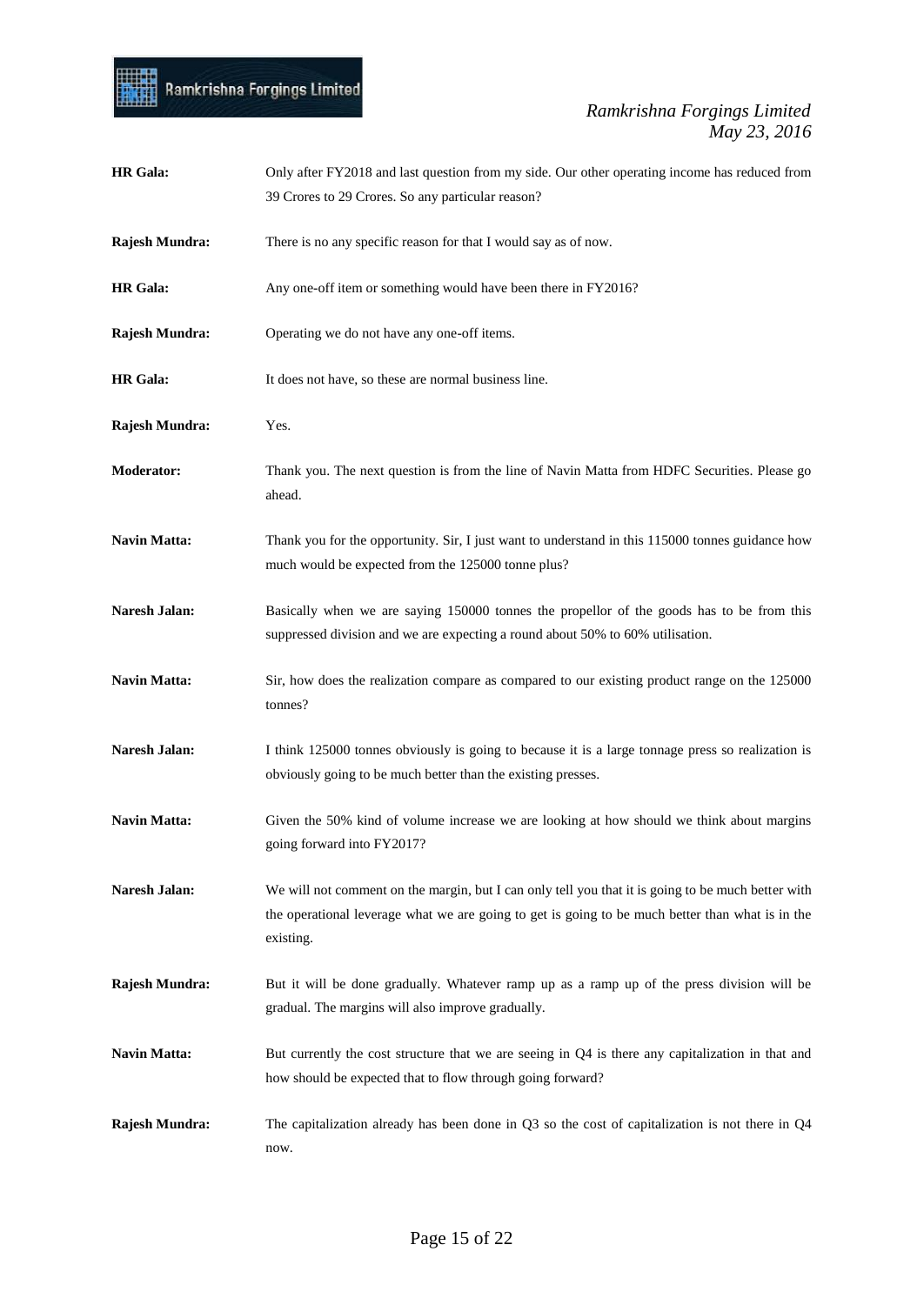

| <b>HR</b> Gala:     | Only after FY2018 and last question from my side. Our other operating income has reduced from                                                                                                                       |
|---------------------|---------------------------------------------------------------------------------------------------------------------------------------------------------------------------------------------------------------------|
|                     | 39 Crores to 29 Crores. So any particular reason?                                                                                                                                                                   |
| Rajesh Mundra:      | There is no any specific reason for that I would say as of now.                                                                                                                                                     |
| <b>HR</b> Gala:     | Any one-off item or something would have been there in FY2016?                                                                                                                                                      |
| Rajesh Mundra:      | Operating we do not have any one-off items.                                                                                                                                                                         |
| <b>HR</b> Gala:     | It does not have, so these are normal business line.                                                                                                                                                                |
| Rajesh Mundra:      | Yes.                                                                                                                                                                                                                |
| <b>Moderator:</b>   | Thank you. The next question is from the line of Navin Matta from HDFC Securities. Please go<br>ahead.                                                                                                              |
| <b>Navin Matta:</b> | Thank you for the opportunity. Sir, I just want to understand in this 115000 tonnes guidance how<br>much would be expected from the 125000 tonne plus?                                                              |
| Naresh Jalan:       | Basically when we are saying 150000 tonnes the propellor of the goods has to be from this<br>suppressed division and we are expecting a round about 50% to 60% utilisation.                                         |
| Navin Matta:        | Sir, how does the realization compare as compared to our existing product range on the 125000<br>tonnes?                                                                                                            |
| Naresh Jalan:       | I think 125000 tonnes obviously is going to because it is a large tonnage press so realization is<br>obviously going to be much better than the existing presses.                                                   |
| <b>Navin Matta:</b> | Given the 50% kind of volume increase we are looking at how should we think about margins<br>going forward into FY2017?                                                                                             |
| Naresh Jalan:       | We will not comment on the margin, but I can only tell you that it is going to be much better with<br>the operational leverage what we are going to get is going to be much better than what is in the<br>existing. |
| Rajesh Mundra:      | But it will be done gradually. Whatever ramp up as a ramp up of the press division will be<br>gradual. The margins will also improve gradually.                                                                     |
| Navin Matta:        | But currently the cost structure that we are seeing in Q4 is there any capitalization in that and<br>how should be expected that to flow through going forward?                                                     |
| Rajesh Mundra:      | The capitalization already has been done in $Q3$ so the cost of capitalization is not there in $Q4$<br>now.                                                                                                         |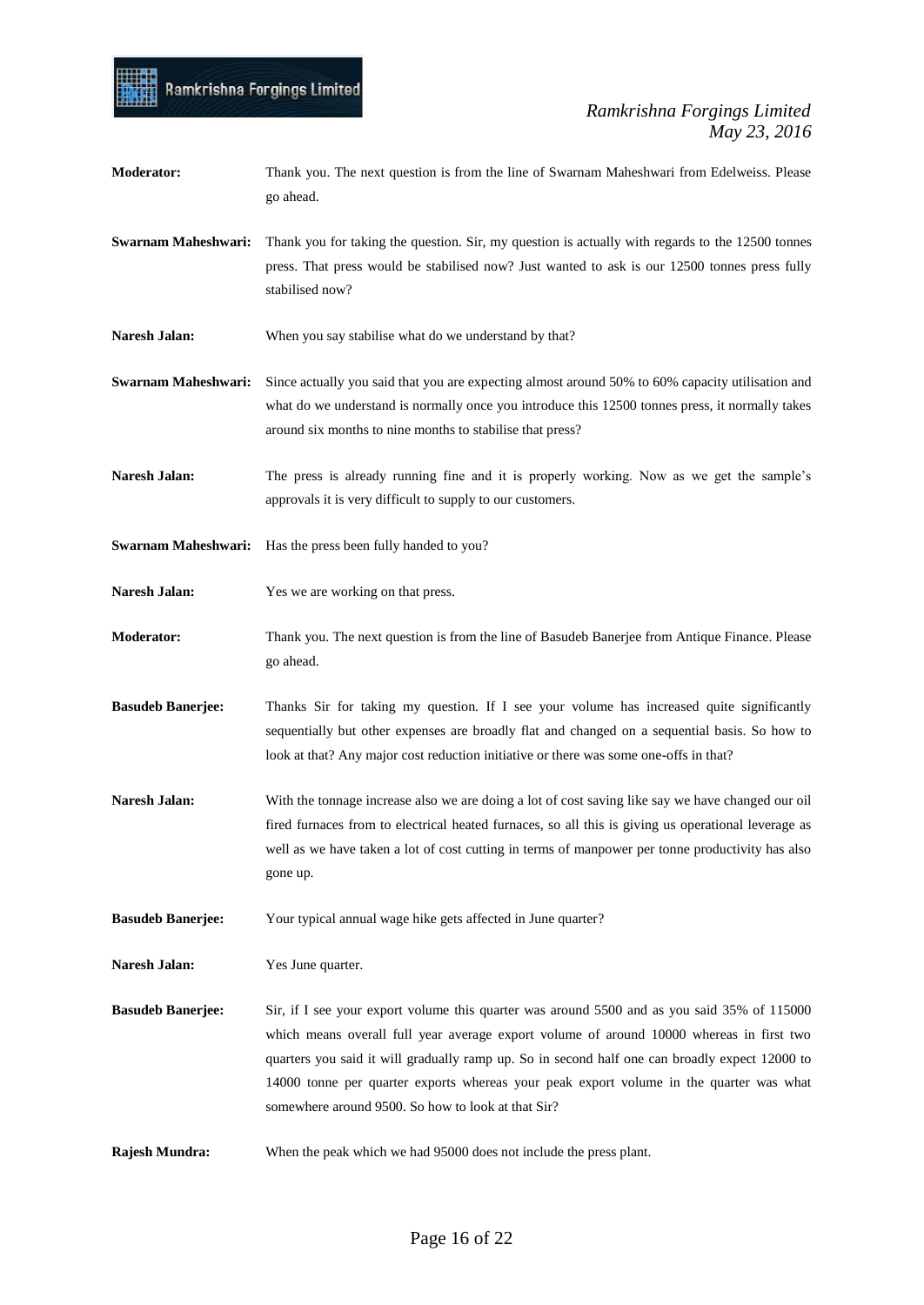| <b>Moderator:</b>          | Thank you. The next question is from the line of Swarnam Maheshwari from Edelweiss. Please<br>go ahead.                                                                                                                                                                                                                                                                                                                                    |
|----------------------------|--------------------------------------------------------------------------------------------------------------------------------------------------------------------------------------------------------------------------------------------------------------------------------------------------------------------------------------------------------------------------------------------------------------------------------------------|
| Swarnam Maheshwari:        | Thank you for taking the question. Sir, my question is actually with regards to the 12500 tonnes<br>press. That press would be stabilised now? Just wanted to ask is our 12500 tonnes press fully<br>stabilised now?                                                                                                                                                                                                                       |
| Naresh Jalan:              | When you say stabilise what do we understand by that?                                                                                                                                                                                                                                                                                                                                                                                      |
| <b>Swarnam Maheshwari:</b> | Since actually you said that you are expecting almost around 50% to 60% capacity utilisation and<br>what do we understand is normally once you introduce this 12500 tonnes press, it normally takes<br>around six months to nine months to stabilise that press?                                                                                                                                                                           |
| Naresh Jalan:              | The press is already running fine and it is properly working. Now as we get the sample's<br>approvals it is very difficult to supply to our customers.                                                                                                                                                                                                                                                                                     |
| Swarnam Maheshwari:        | Has the press been fully handed to you?                                                                                                                                                                                                                                                                                                                                                                                                    |
| Naresh Jalan:              | Yes we are working on that press.                                                                                                                                                                                                                                                                                                                                                                                                          |
| <b>Moderator:</b>          | Thank you. The next question is from the line of Basudeb Banerjee from Antique Finance. Please<br>go ahead.                                                                                                                                                                                                                                                                                                                                |
| <b>Basudeb Banerjee:</b>   | Thanks Sir for taking my question. If I see your volume has increased quite significantly<br>sequentially but other expenses are broadly flat and changed on a sequential basis. So how to<br>look at that? Any major cost reduction initiative or there was some one-offs in that?                                                                                                                                                        |
| Naresh Jalan:              | With the tonnage increase also we are doing a lot of cost saving like say we have changed our oil<br>fired furnaces from to electrical heated furnaces, so all this is giving us operational leverage as<br>well as we have taken a lot of cost cutting in terms of manpower per tonne productivity has also<br>gone up.                                                                                                                   |
| <b>Basudeb Banerjee:</b>   | Your typical annual wage hike gets affected in June quarter?                                                                                                                                                                                                                                                                                                                                                                               |
| <b>Naresh Jalan:</b>       | Yes June quarter.                                                                                                                                                                                                                                                                                                                                                                                                                          |
| <b>Basudeb Banerjee:</b>   | Sir, if I see your export volume this quarter was around 5500 and as you said 35% of 115000<br>which means overall full year average export volume of around 10000 whereas in first two<br>quarters you said it will gradually ramp up. So in second half one can broadly expect 12000 to<br>14000 tonne per quarter exports whereas your peak export volume in the quarter was what<br>somewhere around 9500. So how to look at that Sir? |
| Rajesh Mundra:             | When the peak which we had 95000 does not include the press plant.                                                                                                                                                                                                                                                                                                                                                                         |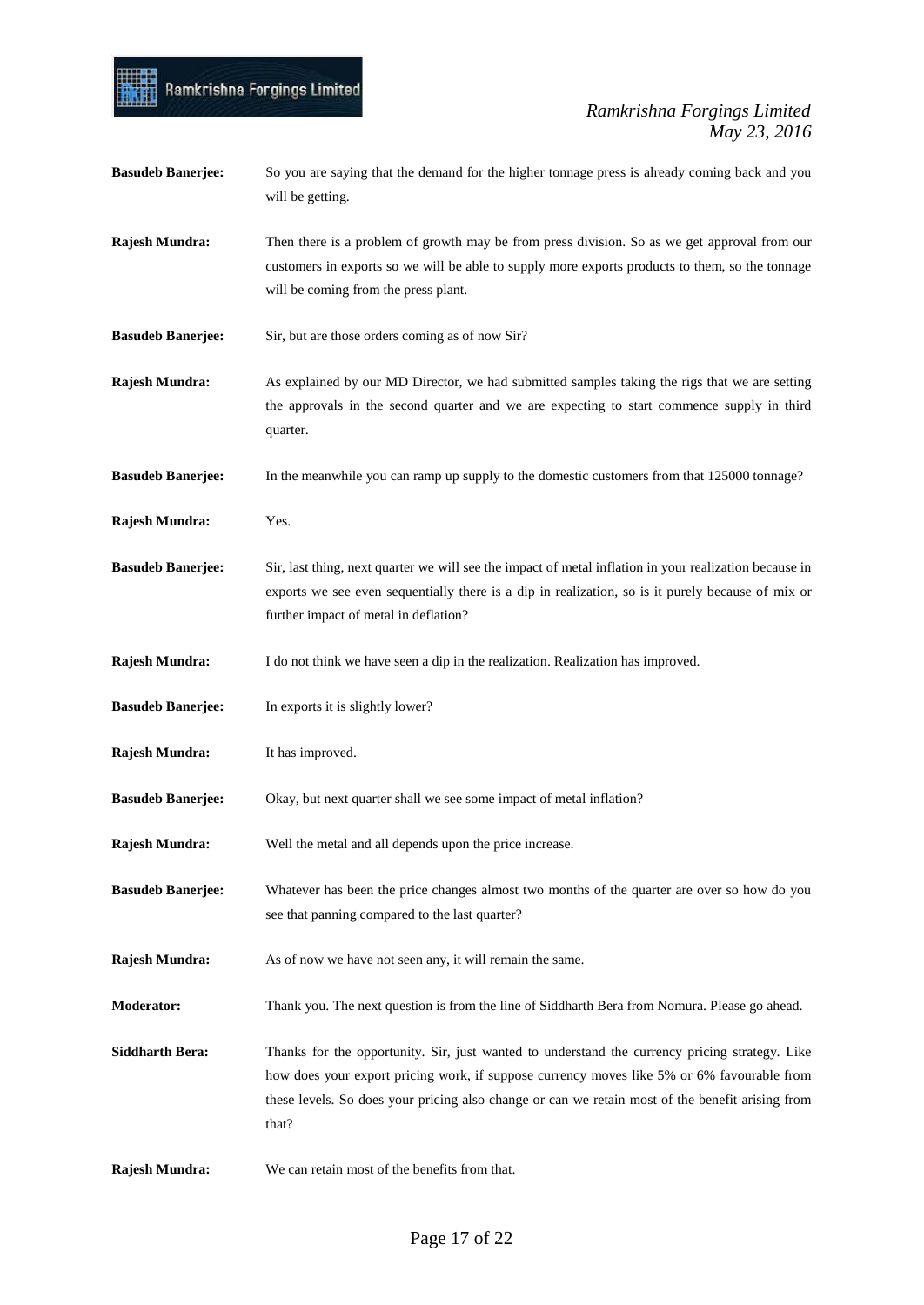### Ramkrishna Forgings Limited

#### *Ramkrishna Forgings Limited May 23, 2016*

**Basudeb Banerjee:** So you are saying that the demand for the higher tonnage press is already coming back and you will be getting. **Rajesh Mundra:** Then there is a problem of growth may be from press division. So as we get approval from our customers in exports so we will be able to supply more exports products to them, so the tonnage will be coming from the press plant. **Basudeb Banerjee:** Sir, but are those orders coming as of now Sir? **Rajesh Mundra:** As explained by our MD Director, we had submitted samples taking the rigs that we are setting the approvals in the second quarter and we are expecting to start commence supply in third quarter. **Basudeb Banerjee:** In the meanwhile you can ramp up supply to the domestic customers from that 125000 tonnage? **Rajesh Mundra:** Yes. **Basudeb Banerjee:** Sir, last thing, next quarter we will see the impact of metal inflation in your realization because in exports we see even sequentially there is a dip in realization, so is it purely because of mix or further impact of metal in deflation? **Rajesh Mundra:** I do not think we have seen a dip in the realization. Realization has improved. **Basudeb Banerjee:** In exports it is slightly lower? **Rajesh Mundra:** It has improved. **Basudeb Banerjee:** Okay, but next quarter shall we see some impact of metal inflation? **Rajesh Mundra:** Well the metal and all depends upon the price increase. **Basudeb Banerjee:** Whatever has been the price changes almost two months of the quarter are over so how do you see that panning compared to the last quarter? **Rajesh Mundra:** As of now we have not seen any, it will remain the same. **Moderator:** Thank you. The next question is from the line of Siddharth Bera from Nomura. Please go ahead. **Siddharth Bera:** Thanks for the opportunity. Sir, just wanted to understand the currency pricing strategy. Like how does your export pricing work, if suppose currency moves like 5% or 6% favourable from these levels. So does your pricing also change or can we retain most of the benefit arising from that? **Rajesh Mundra:** We can retain most of the benefits from that.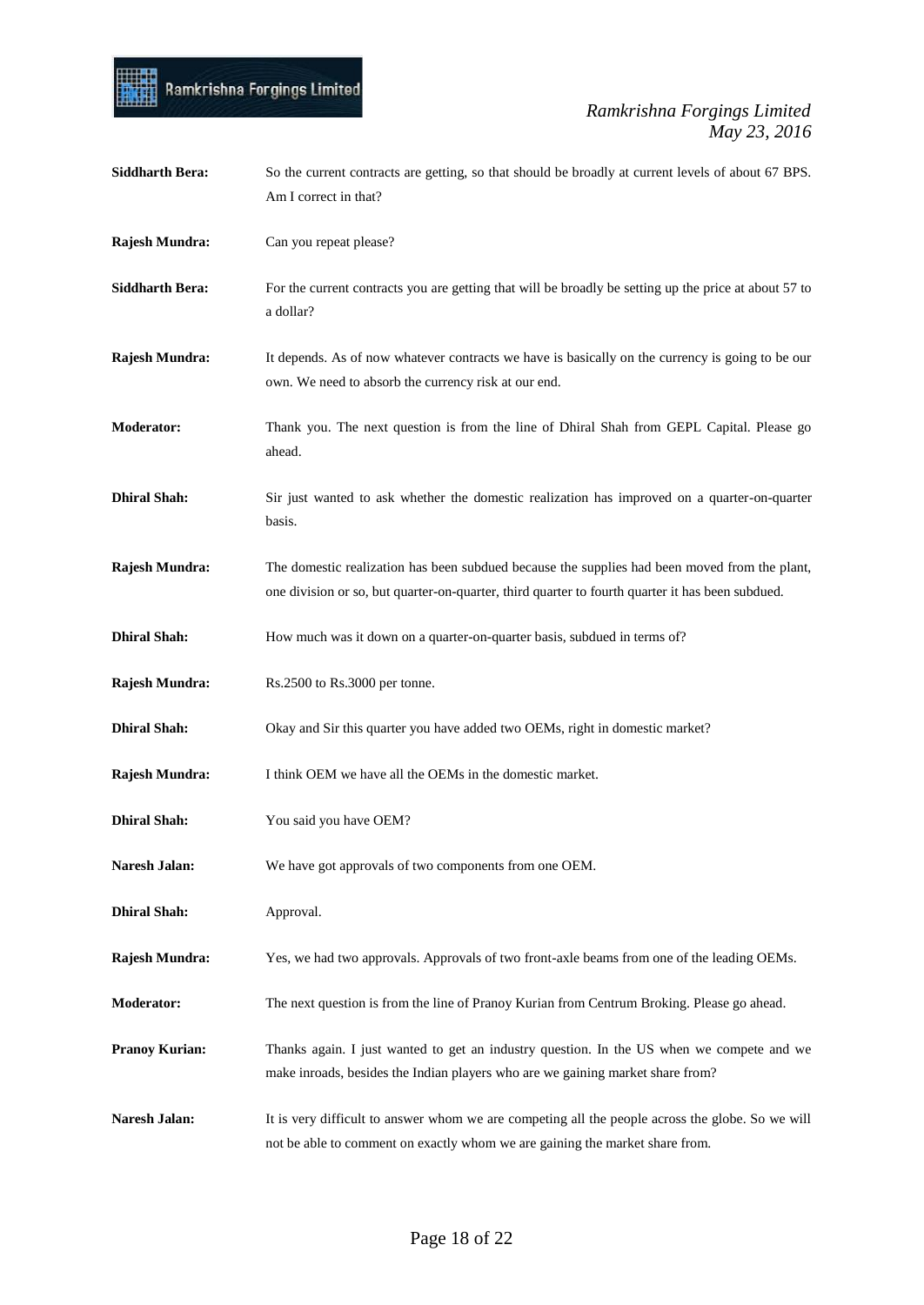# Ramkrishna Forgings Limited

| <b>Siddharth Bera:</b> | So the current contracts are getting, so that should be broadly at current levels of about 67 BPS.<br>Am I correct in that?                                                                       |
|------------------------|---------------------------------------------------------------------------------------------------------------------------------------------------------------------------------------------------|
| Rajesh Mundra:         | Can you repeat please?                                                                                                                                                                            |
| <b>Siddharth Bera:</b> | For the current contracts you are getting that will be broadly be setting up the price at about 57 to<br>a dollar?                                                                                |
| Rajesh Mundra:         | It depends. As of now whatever contracts we have is basically on the currency is going to be our<br>own. We need to absorb the currency risk at our end.                                          |
| <b>Moderator:</b>      | Thank you. The next question is from the line of Dhiral Shah from GEPL Capital. Please go<br>ahead.                                                                                               |
| <b>Dhiral Shah:</b>    | Sir just wanted to ask whether the domestic realization has improved on a quarter-on-quarter<br>basis.                                                                                            |
| Rajesh Mundra:         | The domestic realization has been subdued because the supplies had been moved from the plant,<br>one division or so, but quarter-on-quarter, third quarter to fourth quarter it has been subdued. |
| <b>Dhiral Shah:</b>    | How much was it down on a quarter-on-quarter basis, subdued in terms of?                                                                                                                          |
| Rajesh Mundra:         | Rs.2500 to Rs.3000 per tonne.                                                                                                                                                                     |
| <b>Dhiral Shah:</b>    | Okay and Sir this quarter you have added two OEMs, right in domestic market?                                                                                                                      |
| Rajesh Mundra:         | I think OEM we have all the OEMs in the domestic market.                                                                                                                                          |
| <b>Dhiral Shah:</b>    | You said you have OEM?                                                                                                                                                                            |
| Naresh Jalan:          | We have got approvals of two components from one OEM.                                                                                                                                             |
| <b>Dhiral Shah:</b>    | Approval.                                                                                                                                                                                         |
| Rajesh Mundra:         | Yes, we had two approvals. Approvals of two front-axle beams from one of the leading OEMs.                                                                                                        |
| <b>Moderator:</b>      | The next question is from the line of Pranoy Kurian from Centrum Broking. Please go ahead.                                                                                                        |
| <b>Pranoy Kurian:</b>  | Thanks again. I just wanted to get an industry question. In the US when we compete and we<br>make inroads, besides the Indian players who are we gaining market share from?                       |
| Naresh Jalan:          | It is very difficult to answer whom we are competing all the people across the globe. So we will<br>not be able to comment on exactly whom we are gaining the market share from.                  |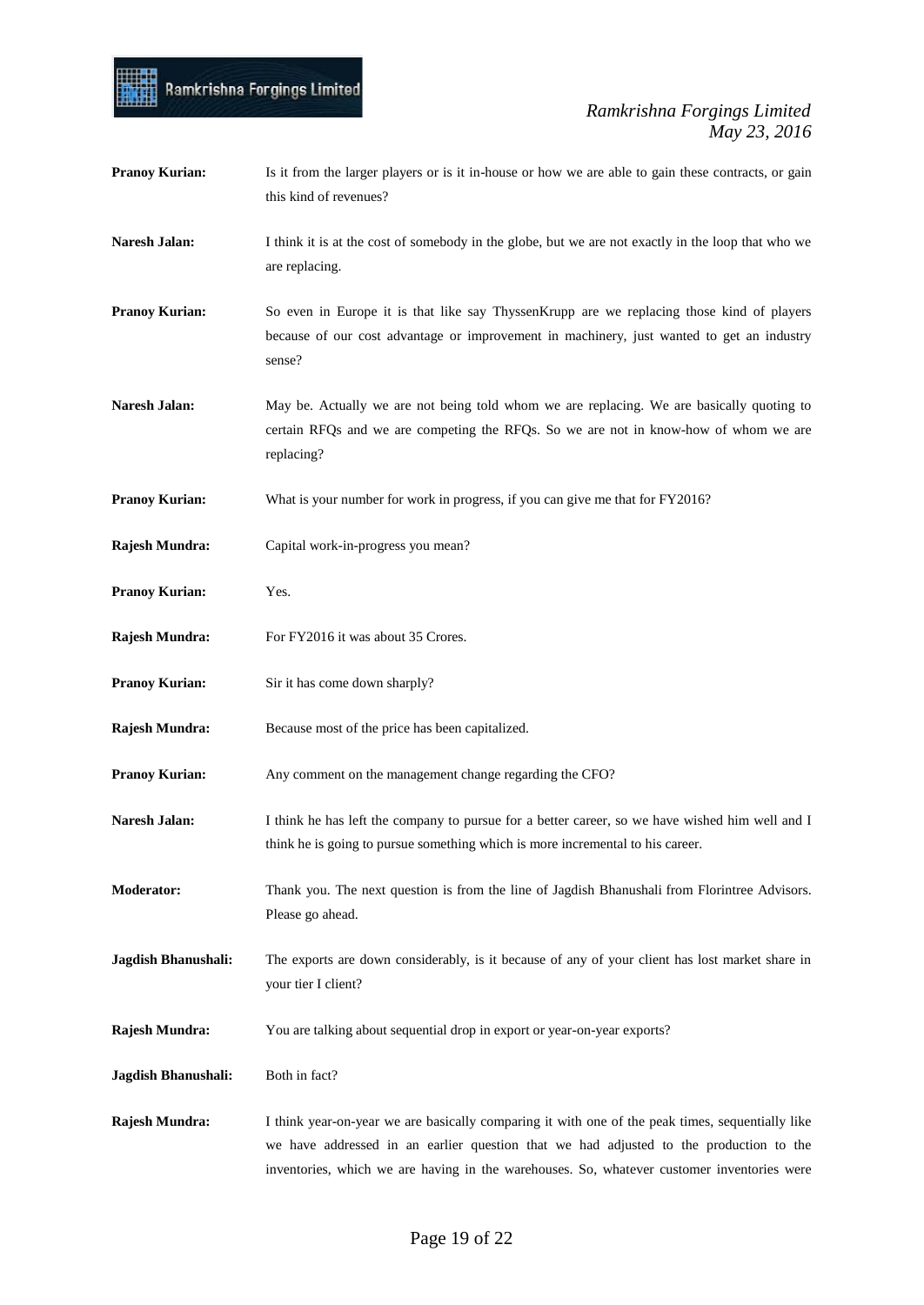- **Pranoy Kurian:** Is it from the larger players or is it in-house or how we are able to gain these contracts, or gain this kind of revenues?
- **Naresh Jalan:** I think it is at the cost of somebody in the globe, but we are not exactly in the loop that who we are replacing.
- **Pranoy Kurian:** So even in Europe it is that like say ThyssenKrupp are we replacing those kind of players because of our cost advantage or improvement in machinery, just wanted to get an industry sense?
- Naresh Jalan: May be. Actually we are not being told whom we are replacing. We are basically quoting to certain RFQs and we are competing the RFQs. So we are not in know-how of whom we are replacing?
- **Pranoy Kurian:** What is your number for work in progress, if you can give me that for FY2016?
- **Rajesh Mundra:** Capital work-in-progress you mean?

Ramkrishna Forgings Limited

- **Pranoy Kurian:** Yes.
- **Rajesh Mundra:** For FY2016 it was about 35 Crores.
- **Pranoy Kurian:** Sir it has come down sharply?
- **Rajesh Mundra:** Because most of the price has been capitalized.
- **Pranoy Kurian:** Any comment on the management change regarding the CFO?
- Naresh Jalan: I think he has left the company to pursue for a better career, so we have wished him well and I think he is going to pursue something which is more incremental to his career.
- **Moderator:** Thank you. The next question is from the line of Jagdish Bhanushali from Florintree Advisors. Please go ahead.
- **Jagdish Bhanushali:** The exports are down considerably, is it because of any of your client has lost market share in your tier I client?
- **Rajesh Mundra:** You are talking about sequential drop in export or year-on-year exports?
- Jagdish Bhanushali: Both in fact?
- **Rajesh Mundra:** I think year-on-year we are basically comparing it with one of the peak times, sequentially like we have addressed in an earlier question that we had adjusted to the production to the inventories, which we are having in the warehouses. So, whatever customer inventories were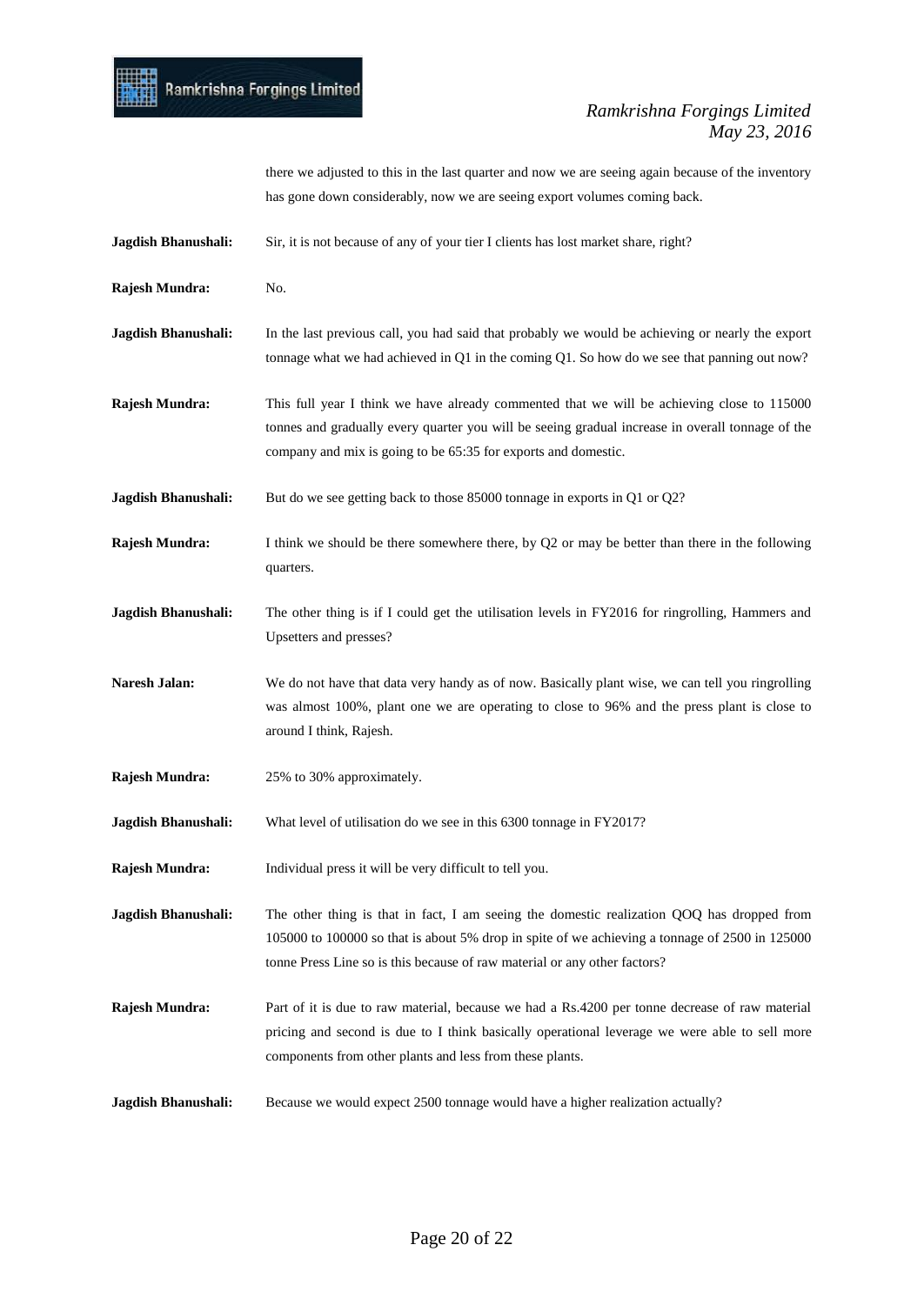

there we adjusted to this in the last quarter and now we are seeing again because of the inventory has gone down considerably, now we are seeing export volumes coming back.

- **Jagdish Bhanushali:** Sir, it is not because of any of your tier I clients has lost market share, right?
- **Rajesh Mundra:** No.
- **Jagdish Bhanushali:** In the last previous call, you had said that probably we would be achieving or nearly the export tonnage what we had achieved in Q1 in the coming Q1. So how do we see that panning out now?
- **Rajesh Mundra:** This full year I think we have already commented that we will be achieving close to 115000 tonnes and gradually every quarter you will be seeing gradual increase in overall tonnage of the company and mix is going to be 65:35 for exports and domestic.
- **Jagdish Bhanushali:** But do we see getting back to those 85000 tonnage in exports in Q1 or Q2?
- **Rajesh Mundra:** I think we should be there somewhere there, by Q2 or may be better than there in the following quarters.
- **Jagdish Bhanushali:** The other thing is if I could get the utilisation levels in FY2016 for ringrolling, Hammers and Upsetters and presses?
- **Naresh Jalan:** We do not have that data very handy as of now. Basically plant wise, we can tell you ringrolling was almost 100%, plant one we are operating to close to 96% and the press plant is close to around I think, Rajesh.
- **Rajesh Mundra:** 25% to 30% approximately.
- **Jagdish Bhanushali:** What level of utilisation do we see in this 6300 tonnage in FY2017?
- **Rajesh Mundra:** Individual press it will be very difficult to tell you.
- **Jagdish Bhanushali:** The other thing is that in fact, I am seeing the domestic realization QOQ has dropped from 105000 to 100000 so that is about 5% drop in spite of we achieving a tonnage of 2500 in 125000 tonne Press Line so is this because of raw material or any other factors?
- **Rajesh Mundra:** Part of it is due to raw material, because we had a Rs.4200 per tonne decrease of raw material pricing and second is due to I think basically operational leverage we were able to sell more components from other plants and less from these plants.
- **Jagdish Bhanushali:** Because we would expect 2500 tonnage would have a higher realization actually?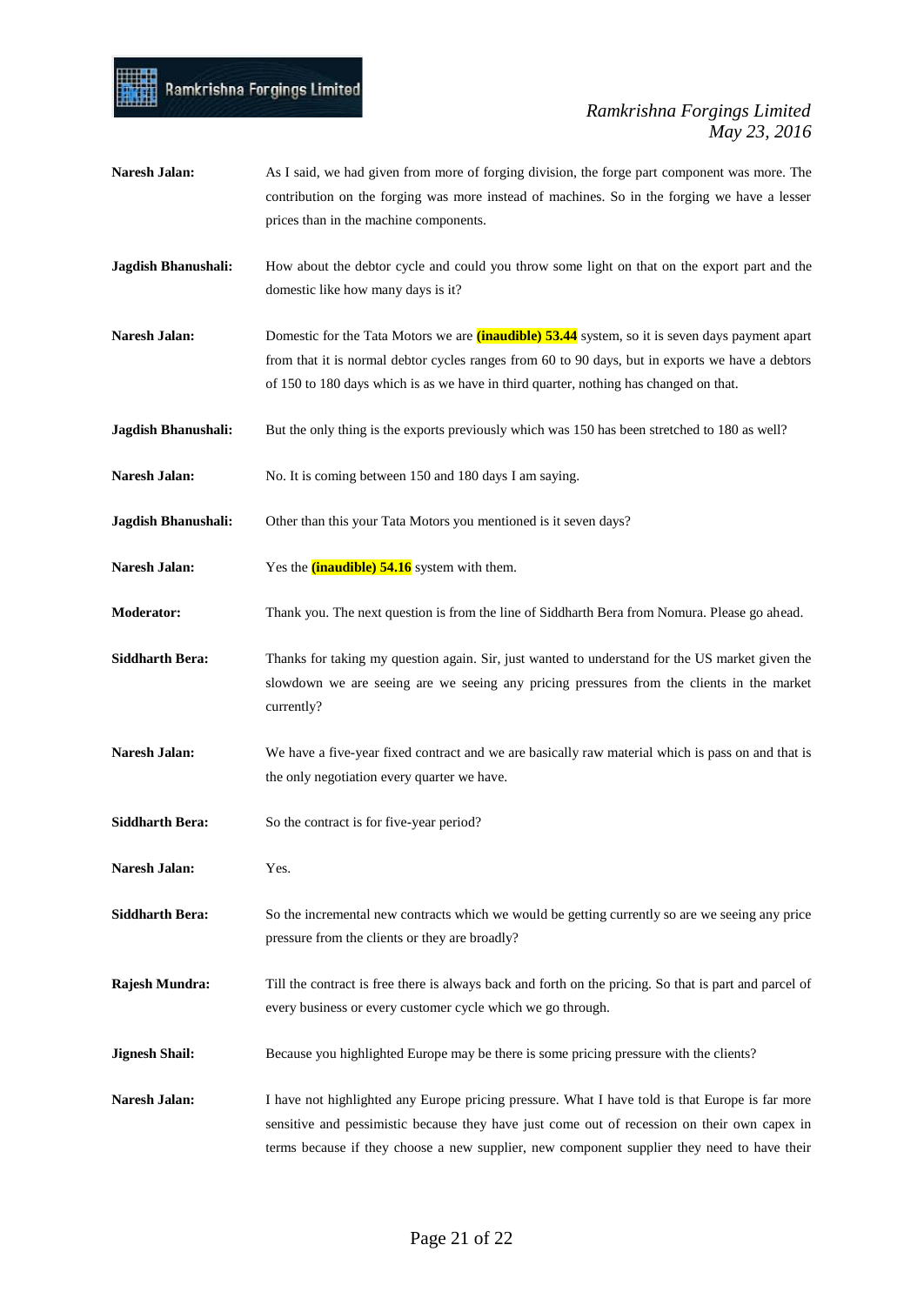### Ramkrishna Forgings Limited

- **Naresh Jalan:** As I said, we had given from more of forging division, the forge part component was more. The contribution on the forging was more instead of machines. So in the forging we have a lesser prices than in the machine components.
- **Jagdish Bhanushali:** How about the debtor cycle and could you throw some light on that on the export part and the domestic like how many days is it?
- **Naresh Jalan:** Domestic for the Tata Motors we are **(inaudible) 53.44** system, so it is seven days payment apart from that it is normal debtor cycles ranges from 60 to 90 days, but in exports we have a debtors of 150 to 180 days which is as we have in third quarter, nothing has changed on that.
- **Jagdish Bhanushali:** But the only thing is the exports previously which was 150 has been stretched to 180 as well?
- Naresh Jalan: No. It is coming between 150 and 180 days I am saying.
- **Jagdish Bhanushali:** Other than this your Tata Motors you mentioned is it seven days?
- **Naresh Jalan:** Yes the **(inaudible) 54.16** system with them.
- **Moderator:** Thank you. The next question is from the line of Siddharth Bera from Nomura. Please go ahead.
- **Siddharth Bera:** Thanks for taking my question again. Sir, just wanted to understand for the US market given the slowdown we are seeing are we seeing any pricing pressures from the clients in the market currently?
- **Naresh Jalan:** We have a five-year fixed contract and we are basically raw material which is pass on and that is the only negotiation every quarter we have.
- Siddharth Bera: So the contract is for five-year period?
- **Naresh Jalan:** Yes.
- **Siddharth Bera:** So the incremental new contracts which we would be getting currently so are we seeing any price pressure from the clients or they are broadly?
- **Rajesh Mundra:** Till the contract is free there is always back and forth on the pricing. So that is part and parcel of every business or every customer cycle which we go through.
- **Jignesh Shail:** Because you highlighted Europe may be there is some pricing pressure with the clients?
- **Naresh Jalan:** I have not highlighted any Europe pricing pressure. What I have told is that Europe is far more sensitive and pessimistic because they have just come out of recession on their own capex in terms because if they choose a new supplier, new component supplier they need to have their